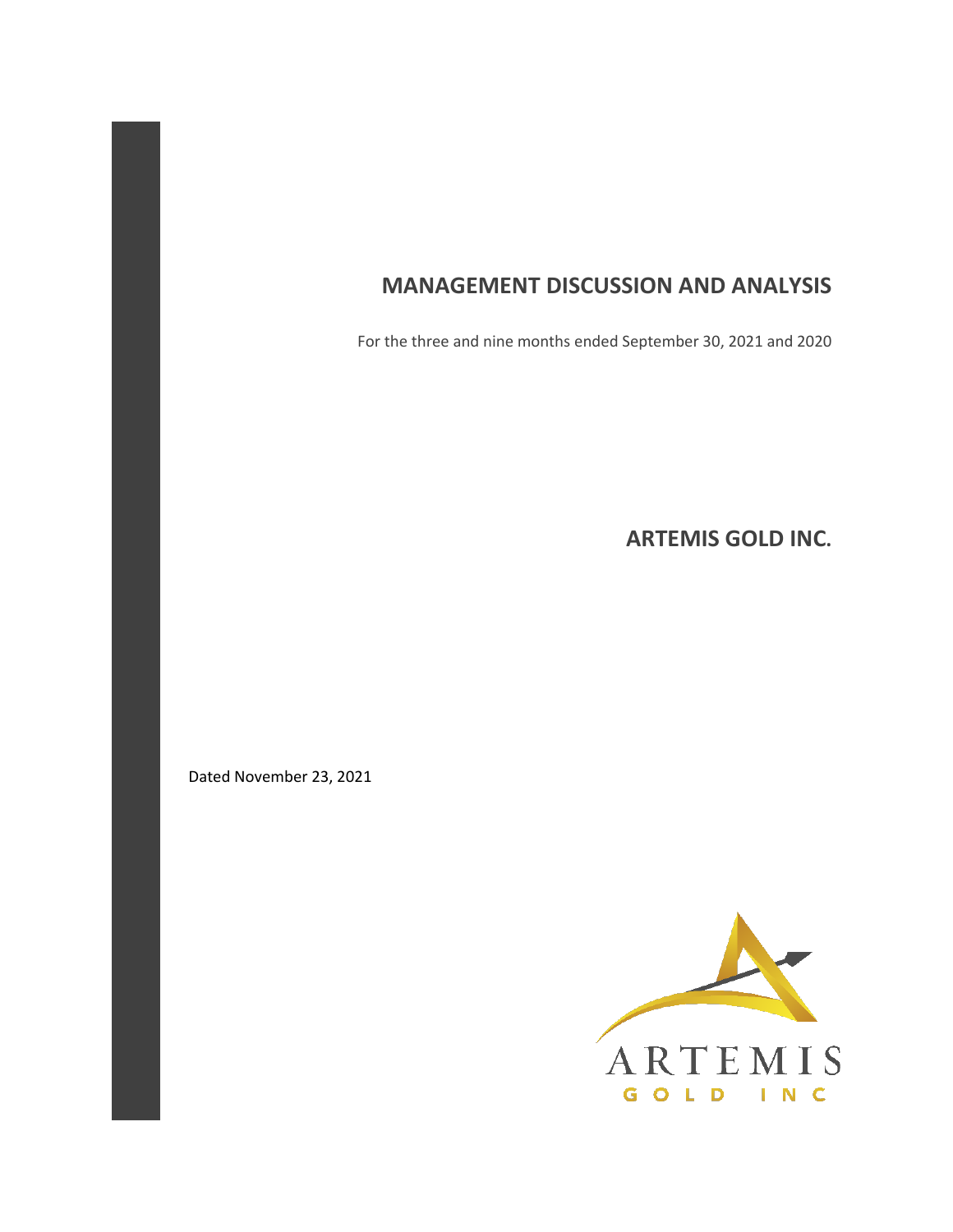# **MANAGEMENT DISCUSSION AND ANALYSIS**

For the three and nine months ended September 30, 2021 and 2020

**ARTEMIS GOLD INC.** 

Dated November 23, 2021

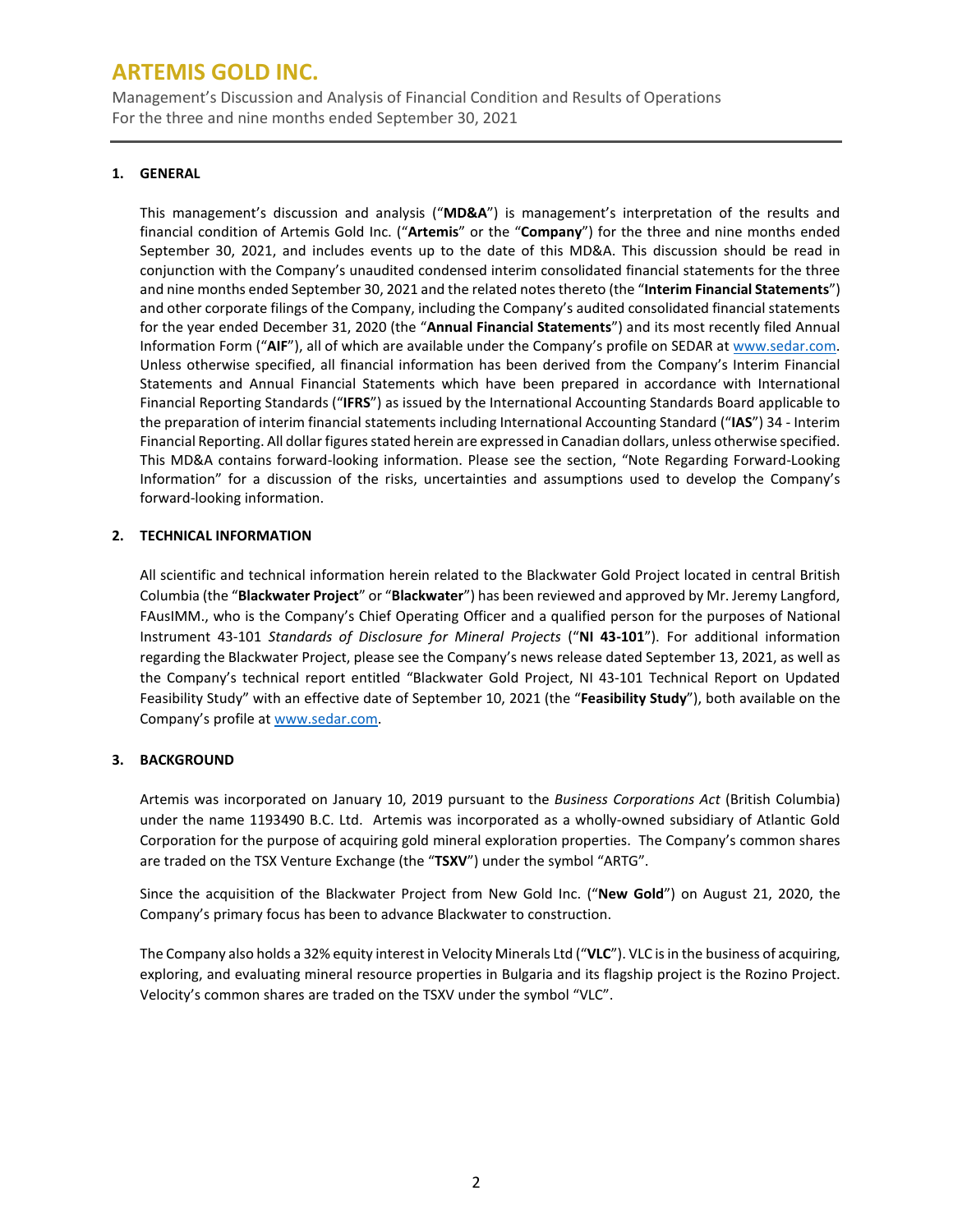Management's Discussion and Analysis of Financial Condition and Results of Operations For the three and nine months ended September 30, 2021

## **1. GENERAL**

This management's discussion and analysis ("**MD&A**") is management's interpretation of the results and financial condition of Artemis Gold Inc. ("**Artemis**" or the "**Company**") for the three and nine months ended September 30, 2021, and includes events up to the date of this MD&A. This discussion should be read in conjunction with the Company's unaudited condensed interim consolidated financial statements for the three and nine months ended September 30, 2021 and the related notes thereto (the "**Interim Financial Statements**") and other corporate filings of the Company, including the Company's audited consolidated financial statements for the year ended December 31, 2020 (the "**Annual Financial Statements**") and its most recently filed Annual Information Form ("**AIF**"), all of which are available under the Company's profile on SEDAR at [www.sedar.com.](http://www.sedar.com/)  Unless otherwise specified, all financial information has been derived from the Company's Interim Financial Statements and Annual Financial Statements which have been prepared in accordance with International Financial Reporting Standards ("**IFRS**") as issued by the International Accounting Standards Board applicable to the preparation of interim financial statements including International Accounting Standard ("**IAS**") 34 - Interim Financial Reporting. All dollar figures stated herein are expressed in Canadian dollars, unless otherwise specified. This MD&A contains forward-looking information. Please see the section, "Note Regarding Forward-Looking Information" for a discussion of the risks, uncertainties and assumptions used to develop the Company's forward-looking information.

### **2. TECHNICAL INFORMATION**

All scientific and technical information herein related to the Blackwater Gold Project located in central British Columbia (the "**Blackwater Project**" or "**Blackwater**") has been reviewed and approved by Mr. Jeremy Langford, FAusIMM., who is the Company's Chief Operating Officer and a qualified person for the purposes of National Instrument 43-101 *Standards of Disclosure for Mineral Projects* ("**NI 43-101**"). For additional information regarding the Blackwater Project, please see the Company's news release dated September 13, 2021, as well as the Company's technical report entitled "Blackwater Gold Project, NI 43-101 Technical Report on Updated Feasibility Study" with an effective date of September 10, 2021 (the "**Feasibility Study**"), both available on the Company's profile a[t www.sedar.com.](http://www.sedar.com/)

## **3. BACKGROUND**

Artemis was incorporated on January 10, 2019 pursuant to the *Business Corporations Act* (British Columbia) under the name 1193490 B.C. Ltd. Artemis was incorporated as a wholly-owned subsidiary of Atlantic Gold Corporation for the purpose of acquiring gold mineral exploration properties. The Company's common shares are traded on the TSX Venture Exchange (the "**TSXV**") under the symbol "ARTG".

Since the acquisition of the Blackwater Project from New Gold Inc. ("**New Gold**") on August 21, 2020, the Company's primary focus has been to advance Blackwater to construction.

The Company also holds a 32% equity interest in Velocity Minerals Ltd ("**VLC**"). VLC is in the business of acquiring, exploring, and evaluating mineral resource properties in Bulgaria and its flagship project is the Rozino Project. Velocity's common shares are traded on the TSXV under the symbol "VLC".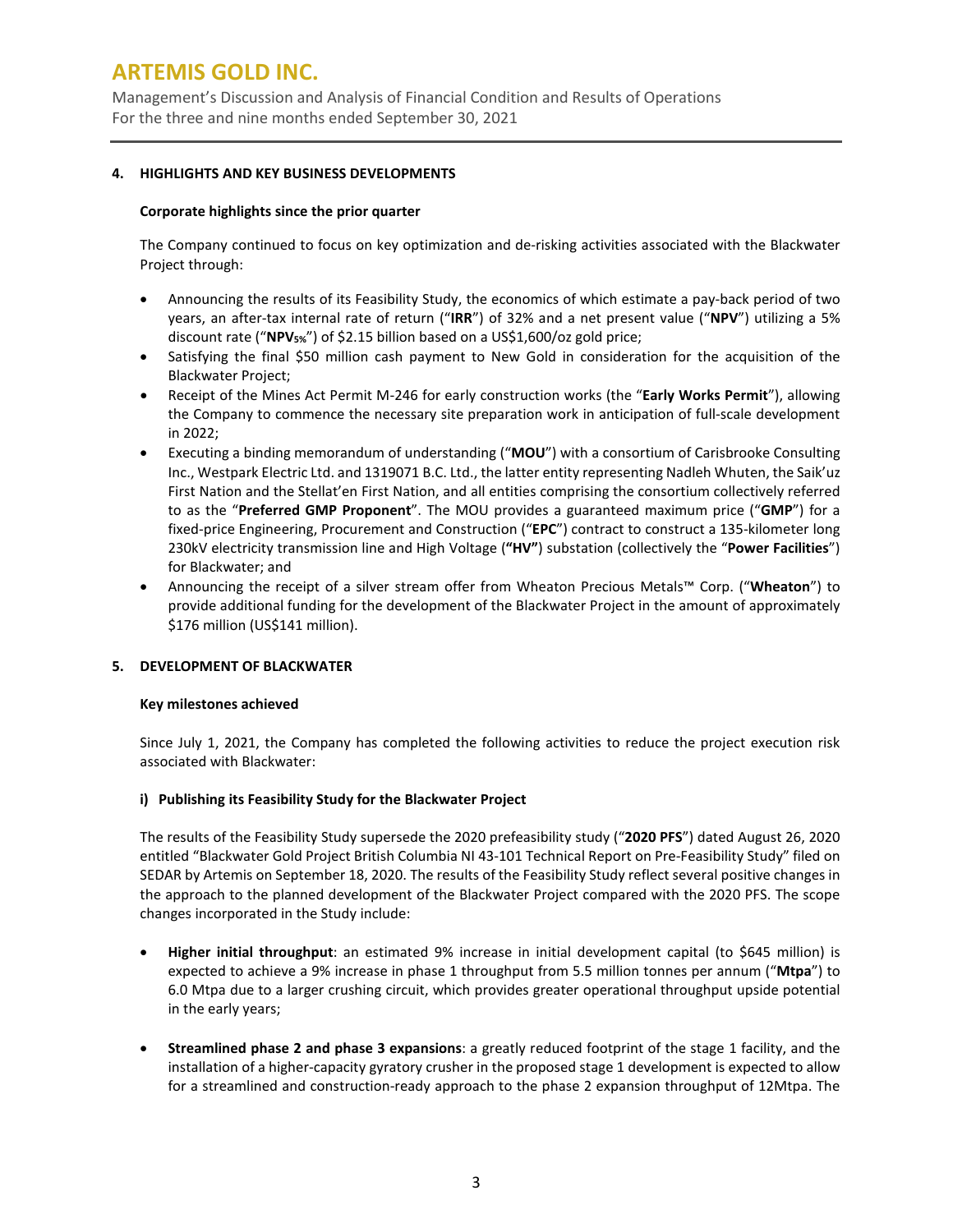Management's Discussion and Analysis of Financial Condition and Results of Operations For the three and nine months ended September 30, 2021

## **4. HIGHLIGHTS AND KEY BUSINESS DEVELOPMENTS**

### **Corporate highlights since the prior quarter**

The Company continued to focus on key optimization and de-risking activities associated with the Blackwater Project through:

- Announcing the results of its Feasibility Study, the economics of which estimate a pay-back period of two years, an after-tax internal rate of return ("**IRR**") of 32% and a net present value ("**NPV**") utilizing a 5% discount rate ("**NPV5%**") of \$2.15 billion based on a US\$1,600/oz gold price;
- Satisfying the final \$50 million cash payment to New Gold in consideration for the acquisition of the Blackwater Project;
- Receipt of the Mines Act Permit M-246 for early construction works (the "**Early Works Permit**"), allowing the Company to commence the necessary site preparation work in anticipation of full-scale development in 2022;
- Executing a binding memorandum of understanding ("**MOU**") with a consortium of Carisbrooke Consulting Inc., Westpark Electric Ltd. and 1319071 B.C. Ltd., the latter entity representing Nadleh Whuten, the Saik'uz First Nation and the Stellat'en First Nation, and all entities comprising the consortium collectively referred to as the "**Preferred GMP Proponent**". The MOU provides a guaranteed maximum price ("**GMP**") for a fixed-price Engineering, Procurement and Construction ("**EPC**") contract to construct a 135-kilometer long 230kV electricity transmission line and High Voltage (**"HV"**) substation (collectively the "**Power Facilities**") for Blackwater; and
- Announcing the receipt of a silver stream offer from Wheaton Precious Metals™ Corp. ("**Wheaton**") to provide additional funding for the development of the Blackwater Project in the amount of approximately \$176 million (US\$141 million).

## **5. DEVELOPMENT OF BLACKWATER**

#### **Key milestones achieved**

Since July 1, 2021, the Company has completed the following activities to reduce the project execution risk associated with Blackwater:

## **i) Publishing its Feasibility Study for the Blackwater Project**

The results of the Feasibility Study supersede the 2020 prefeasibility study ("**2020 PFS**") dated August 26, 2020 entitled "Blackwater Gold Project British Columbia NI 43-101 Technical Report on Pre-Feasibility Study" filed on SEDAR by Artemis on September 18, 2020. The results of the Feasibility Study reflect several positive changes in the approach to the planned development of the Blackwater Project compared with the 2020 PFS. The scope changes incorporated in the Study include:

- **Higher initial throughput**: an estimated 9% increase in initial development capital (to \$645 million) is expected to achieve a 9% increase in phase 1 throughput from 5.5 million tonnes per annum ("**Mtpa**") to 6.0 Mtpa due to a larger crushing circuit, which provides greater operational throughput upside potential in the early years;
- **Streamlined phase 2 and phase 3 expansions**: a greatly reduced footprint of the stage 1 facility, and the installation of a higher-capacity gyratory crusher in the proposed stage 1 development is expected to allow for a streamlined and construction-ready approach to the phase 2 expansion throughput of 12Mtpa. The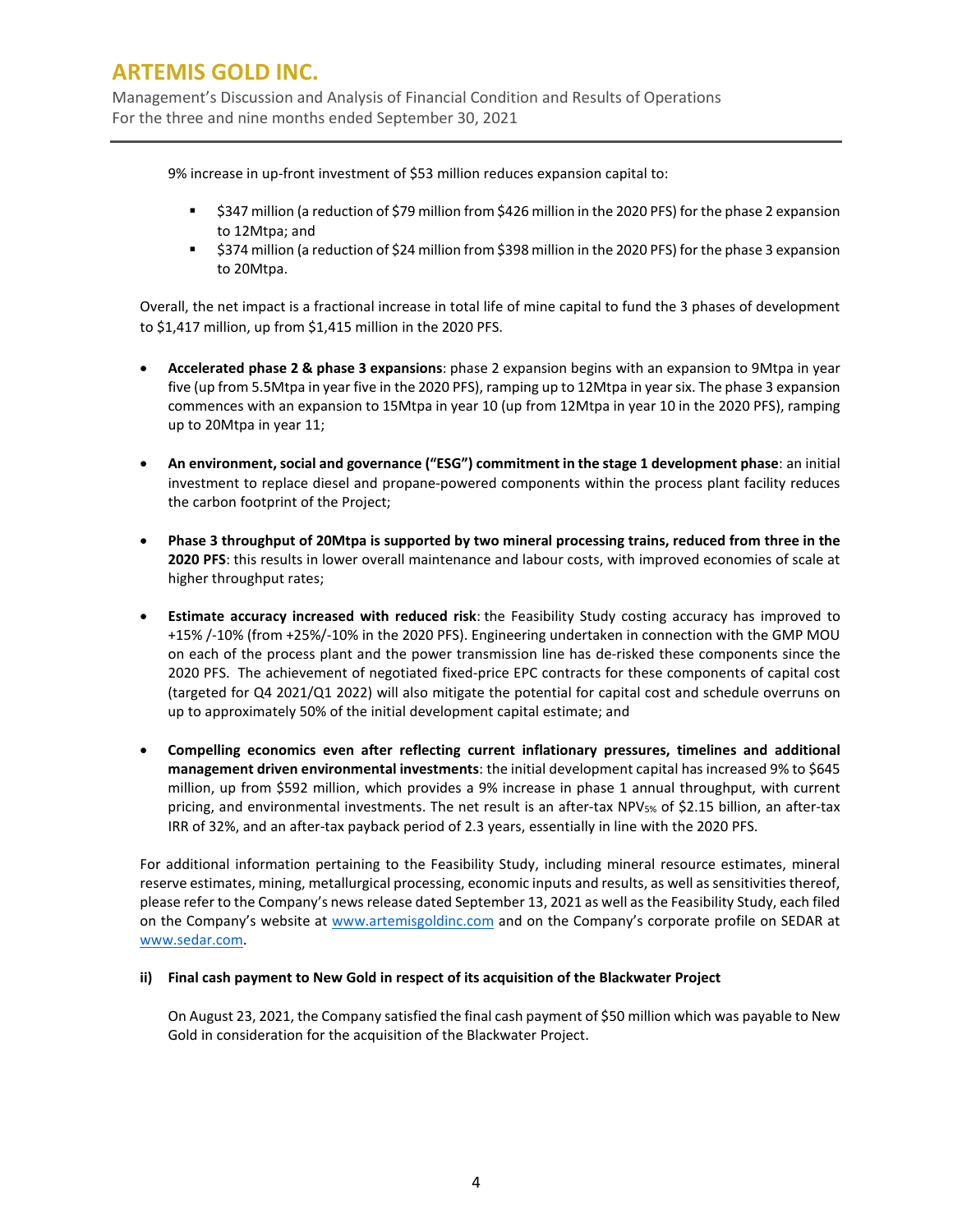Management's Discussion and Analysis of Financial Condition and Results of Operations For the three and nine months ended September 30, 2021

9% increase in up-front investment of \$53 million reduces expansion capital to:

- \$347 million (a reduction of \$79 million from \$426 million in the 2020 PFS) for the phase 2 expansion to 12Mtpa; and
- \$374 million (a reduction of \$24 million from \$398 million in the 2020 PFS) for the phase 3 expansion to 20Mtpa.

Overall, the net impact is a fractional increase in total life of mine capital to fund the 3 phases of development to \$1,417 million, up from \$1,415 million in the 2020 PFS.

- **Accelerated phase 2 & phase 3 expansions**: phase 2 expansion begins with an expansion to 9Mtpa in year five (up from 5.5Mtpa in year five in the 2020 PFS), ramping up to 12Mtpa in year six. The phase 3 expansion commences with an expansion to 15Mtpa in year 10 (up from 12Mtpa in year 10 in the 2020 PFS), ramping up to 20Mtpa in year 11;
- **An environment, social and governance ("ESG") commitment in the stage 1 development phase**: an initial investment to replace diesel and propane-powered components within the process plant facility reduces the carbon footprint of the Project;
- **Phase 3 throughput of 20Mtpa is supported by two mineral processing trains, reduced from three in the 2020 PFS**: this results in lower overall maintenance and labour costs, with improved economies of scale at higher throughput rates;
- **Estimate accuracy increased with reduced risk**: the Feasibility Study costing accuracy has improved to +15% /-10% (from +25%/-10% in the 2020 PFS). Engineering undertaken in connection with the GMP MOU on each of the process plant and the power transmission line has de-risked these components since the 2020 PFS. The achievement of negotiated fixed-price EPC contracts for these components of capital cost (targeted for Q4 2021/Q1 2022) will also mitigate the potential for capital cost and schedule overruns on up to approximately 50% of the initial development capital estimate; and
- **Compelling economics even after reflecting current inflationary pressures, timelines and additional management driven environmental investments**: the initial development capital has increased 9% to \$645 million, up from \$592 million, which provides a 9% increase in phase 1 annual throughput, with current pricing, and environmental investments. The net result is an after-tax NPV5% of \$2.15 billion, an after-tax IRR of 32%, and an after-tax payback period of 2.3 years, essentially in line with the 2020 PFS.

For additional information pertaining to the Feasibility Study, including mineral resource estimates, mineral reserve estimates, mining, metallurgical processing, economic inputs and results, as well as sensitivities thereof, please refer to the Company's news release dated September 13, 2021 as well as the Feasibility Study, each filed on the Company's website at [www.artemisgoldinc.com](http://www.artemisgoldinc.com/) and on the Company's corporate profile on SEDAR at [www.sedar.com.](http://www.sedar.com/)

## **ii) Final cash payment to New Gold in respect of its acquisition of the Blackwater Project**

On August 23, 2021, the Company satisfied the final cash payment of \$50 million which was payable to New Gold in consideration for the acquisition of the Blackwater Project.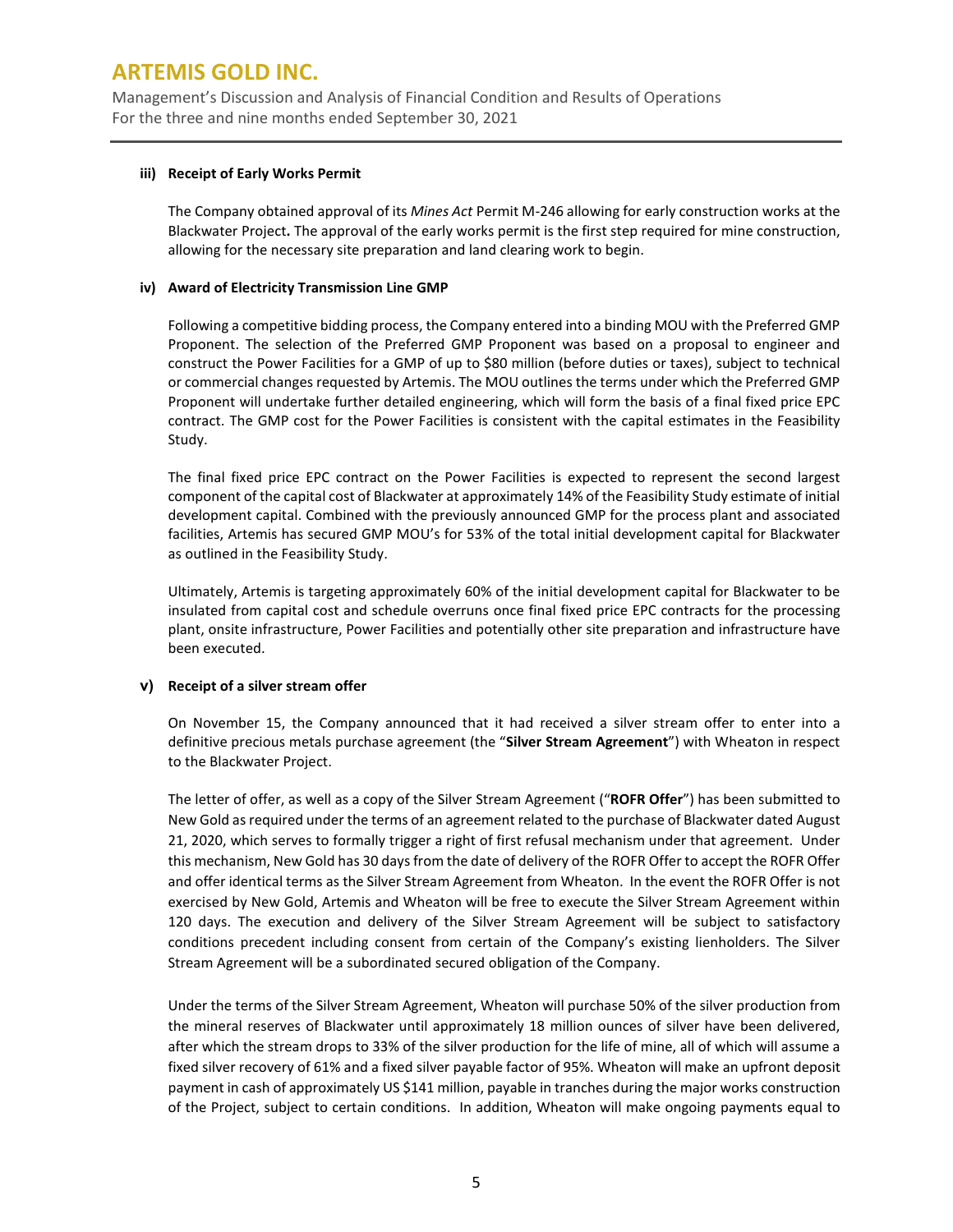Management's Discussion and Analysis of Financial Condition and Results of Operations For the three and nine months ended September 30, 2021

### **iii) Receipt of Early Works Permit**

The Company obtained approval of its *Mines Act* Permit M-246 allowing for early construction works at the Blackwater Project**.** The approval of the early works permit is the first step required for mine construction, allowing for the necessary site preparation and land clearing work to begin.

### **iv) Award of Electricity Transmission Line GMP**

Following a competitive bidding process, the Company entered into a binding MOU with the Preferred GMP Proponent. The selection of the Preferred GMP Proponent was based on a proposal to engineer and construct the Power Facilities for a GMP of up to \$80 million (before duties or taxes), subject to technical or commercial changes requested by Artemis. The MOU outlines the terms under which the Preferred GMP Proponent will undertake further detailed engineering, which will form the basis of a final fixed price EPC contract. The GMP cost for the Power Facilities is consistent with the capital estimates in the Feasibility Study.

The final fixed price EPC contract on the Power Facilities is expected to represent the second largest component of the capital cost of Blackwater at approximately 14% of the Feasibility Study estimate of initial development capital. Combined with the previously announced GMP for the process plant and associated facilities, Artemis has secured GMP MOU's for 53% of the total initial development capital for Blackwater as outlined in the Feasibility Study.

Ultimately, Artemis is targeting approximately 60% of the initial development capital for Blackwater to be insulated from capital cost and schedule overruns once final fixed price EPC contracts for the processing plant, onsite infrastructure, Power Facilities and potentially other site preparation and infrastructure have been executed.

## **v) Receipt of a silver stream offer**

On November 15, the Company announced that it had received a silver stream offer to enter into a definitive precious metals purchase agreement (the "**Silver Stream Agreement**") with Wheaton in respect to the Blackwater Project.

The letter of offer, as well as a copy of the Silver Stream Agreement ("**ROFR Offer**") has been submitted to New Gold as required under the terms of an agreement related to the purchase of Blackwater dated August 21, 2020, which serves to formally trigger a right of first refusal mechanism under that agreement. Under this mechanism, New Gold has 30 days from the date of delivery of the ROFR Offer to accept the ROFR Offer and offer identical terms as the Silver Stream Agreement from Wheaton. In the event the ROFR Offer is not exercised by New Gold, Artemis and Wheaton will be free to execute the Silver Stream Agreement within 120 days. The execution and delivery of the Silver Stream Agreement will be subject to satisfactory conditions precedent including consent from certain of the Company's existing lienholders. The Silver Stream Agreement will be a subordinated secured obligation of the Company.

Under the terms of the Silver Stream Agreement, Wheaton will purchase 50% of the silver production from the mineral reserves of Blackwater until approximately 18 million ounces of silver have been delivered, after which the stream drops to 33% of the silver production for the life of mine, all of which will assume a fixed silver recovery of 61% and a fixed silver payable factor of 95%. Wheaton will make an upfront deposit payment in cash of approximately US \$141 million, payable in tranches during the major works construction of the Project, subject to certain conditions. In addition, Wheaton will make ongoing payments equal to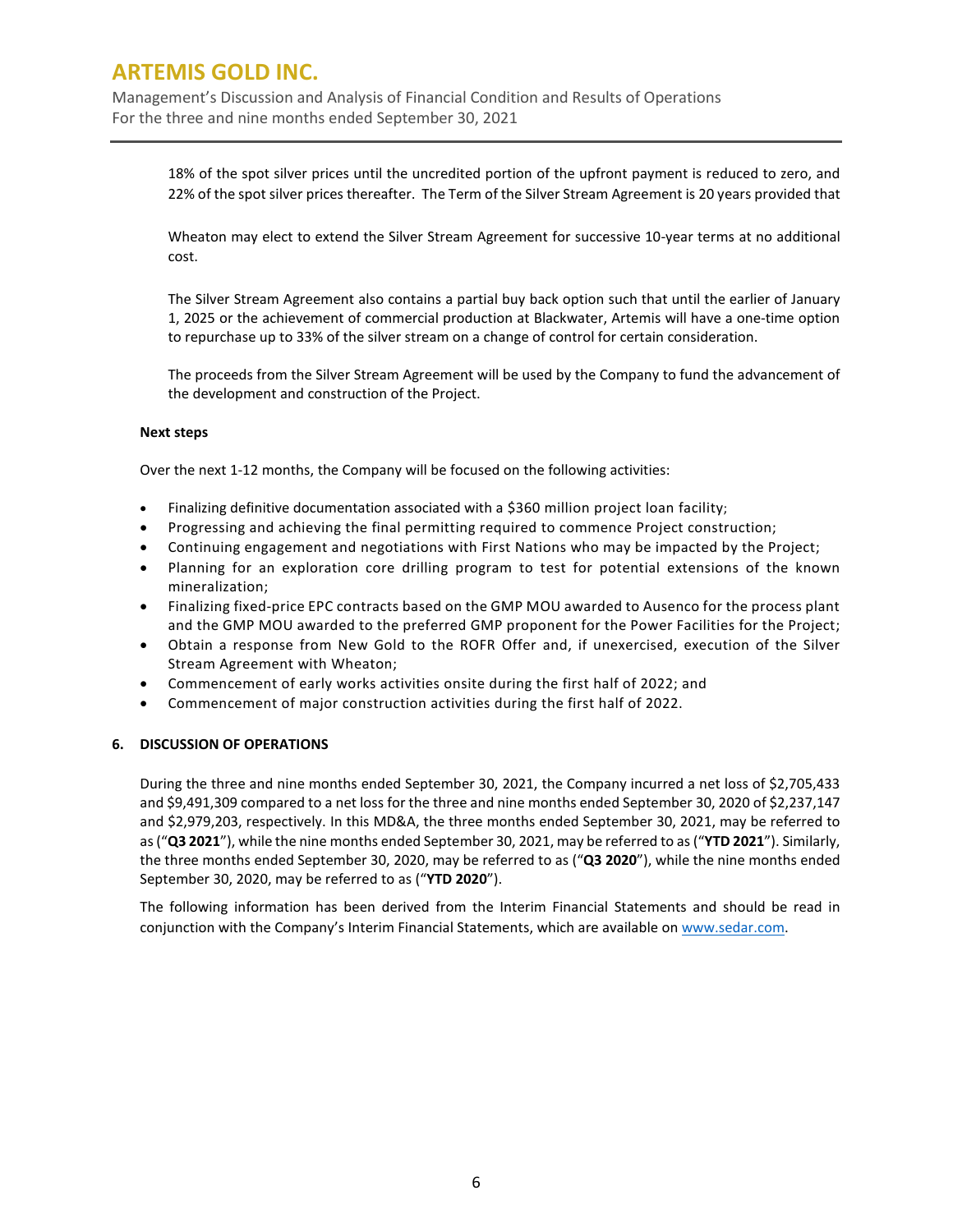Management's Discussion and Analysis of Financial Condition and Results of Operations For the three and nine months ended September 30, 2021

18% of the spot silver prices until the uncredited portion of the upfront payment is reduced to zero, and 22% of the spot silver prices thereafter. The Term of the Silver Stream Agreement is 20 years provided that

Wheaton may elect to extend the Silver Stream Agreement for successive 10-year terms at no additional cost.

The Silver Stream Agreement also contains a partial buy back option such that until the earlier of January 1, 2025 or the achievement of commercial production at Blackwater, Artemis will have a one-time option to repurchase up to 33% of the silver stream on a change of control for certain consideration.

The proceeds from the Silver Stream Agreement will be used by the Company to fund the advancement of the development and construction of the Project.

### **Next steps**

Over the next 1-12 months, the Company will be focused on the following activities:

- Finalizing definitive documentation associated with a \$360 million project loan facility;
- Progressing and achieving the final permitting required to commence Project construction;
- Continuing engagement and negotiations with First Nations who may be impacted by the Project;
- Planning for an exploration core drilling program to test for potential extensions of the known mineralization;
- Finalizing fixed-price EPC contracts based on the GMP MOU awarded to Ausenco for the process plant and the GMP MOU awarded to the preferred GMP proponent for the Power Facilities for the Project;
- Obtain a response from New Gold to the ROFR Offer and, if unexercised, execution of the Silver Stream Agreement with Wheaton;
- Commencement of early works activities onsite during the first half of 2022; and
- Commencement of major construction activities during the first half of 2022.

## **6. DISCUSSION OF OPERATIONS**

During the three and nine months ended September 30, 2021, the Company incurred a net loss of \$2,705,433 and \$9,491,309 compared to a net loss for the three and nine months ended September 30, 2020 of \$2,237,147 and \$2,979,203, respectively. In this MD&A, the three months ended September 30, 2021, may be referred to as ("**Q3 2021**"), while the nine months ended September 30, 2021, may be referred to as ("**YTD 2021**"). Similarly, the three months ended September 30, 2020, may be referred to as ("**Q3 2020**"), while the nine months ended September 30, 2020, may be referred to as ("**YTD 2020**").

The following information has been derived from the Interim Financial Statements and should be read in conjunction with the Company's Interim Financial Statements, which are available on [www.sedar.com.](http://www.sedar.com/)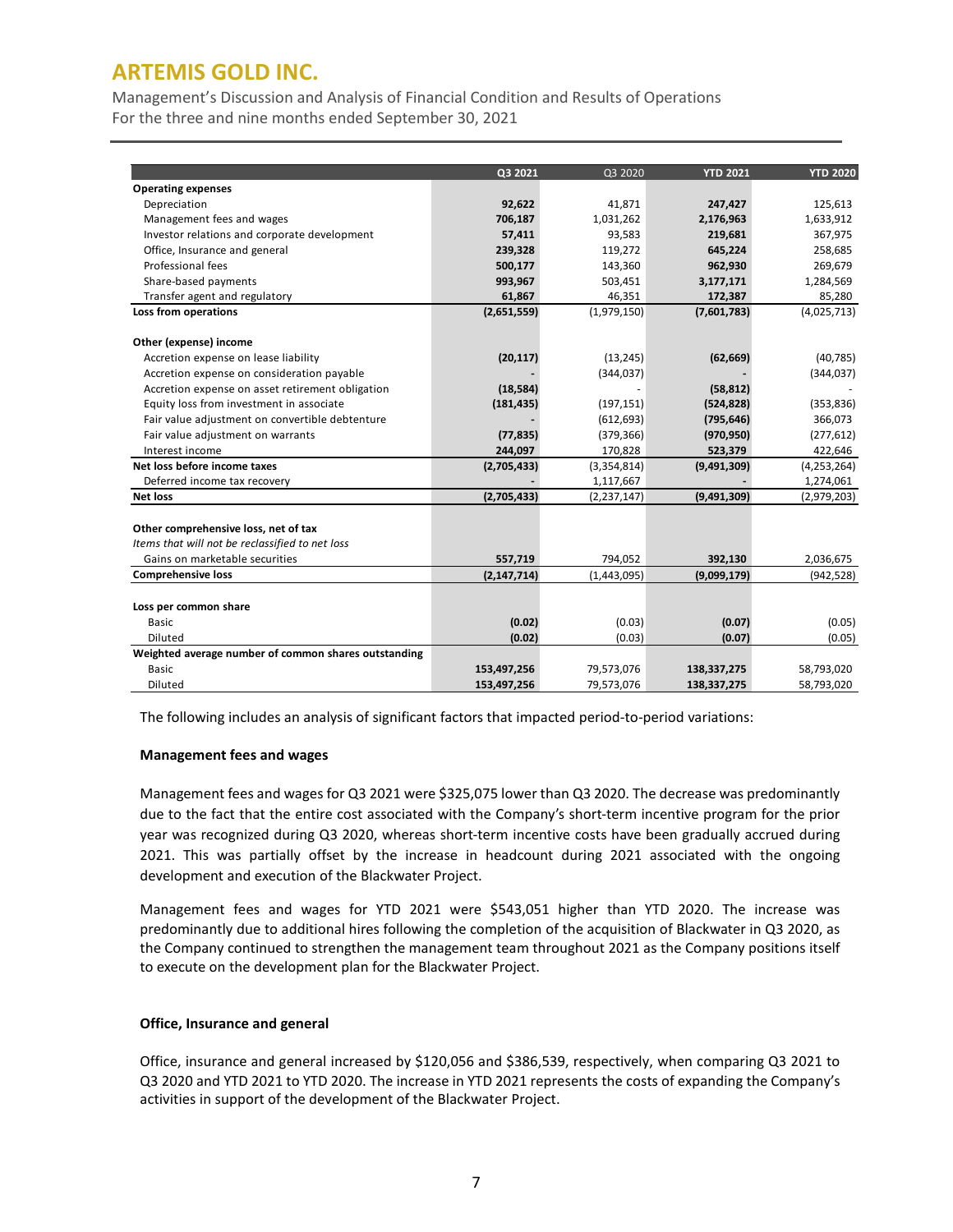Management's Discussion and Analysis of Financial Condition and Results of Operations For the three and nine months ended September 30, 2021

|                                                      | Q3 2021       | Q3 2020       | <b>YTD 2021</b> | <b>YTD 2020</b> |
|------------------------------------------------------|---------------|---------------|-----------------|-----------------|
| <b>Operating expenses</b>                            |               |               |                 |                 |
| Depreciation                                         | 92,622        | 41,871        | 247,427         | 125,613         |
| Management fees and wages                            | 706,187       | 1,031,262     | 2,176,963       | 1,633,912       |
| Investor relations and corporate development         | 57,411        | 93,583        | 219,681         | 367,975         |
| Office, Insurance and general                        | 239,328       | 119,272       | 645,224         | 258,685         |
| Professional fees                                    | 500,177       | 143,360       | 962,930         | 269,679         |
| Share-based payments                                 | 993,967       | 503,451       | 3,177,171       | 1,284,569       |
| Transfer agent and regulatory                        | 61,867        | 46,351        | 172,387         | 85,280          |
| Loss from operations                                 | (2,651,559)   | (1,979,150)   | (7,601,783)     | (4,025,713)     |
|                                                      |               |               |                 |                 |
| Other (expense) income                               |               |               |                 |                 |
| Accretion expense on lease liability                 | (20, 117)     | (13, 245)     | (62, 669)       | (40, 785)       |
| Accretion expense on consideration payable           |               | (344, 037)    |                 | (344, 037)      |
| Accretion expense on asset retirement obligation     | (18, 584)     |               | (58, 812)       |                 |
| Equity loss from investment in associate             | (181, 435)    | (197, 151)    | (524, 828)      | (353, 836)      |
| Fair value adjustment on convertible debtenture      |               | (612, 693)    | (795, 646)      | 366,073         |
| Fair value adjustment on warrants                    | (77, 835)     | (379, 366)    | (970, 950)      | (277, 612)      |
| Interest income                                      | 244,097       | 170,828       | 523,379         | 422,646         |
| Net loss before income taxes                         | (2,705,433)   | (3,354,814)   | (9,491,309)     | (4,253,264)     |
| Deferred income tax recovery                         |               | 1,117,667     |                 | 1,274,061       |
| <b>Net loss</b>                                      | (2,705,433)   | (2, 237, 147) | (9,491,309)     | (2,979,203)     |
|                                                      |               |               |                 |                 |
| Other comprehensive loss, net of tax                 |               |               |                 |                 |
| Items that will not be reclassified to net loss      |               |               |                 |                 |
| Gains on marketable securities                       | 557,719       | 794,052       | 392,130         | 2,036,675       |
| <b>Comprehensive loss</b>                            | (2, 147, 714) | (1,443,095)   | (9,099,179)     | (942, 528)      |
|                                                      |               |               |                 |                 |
| Loss per common share                                |               |               |                 |                 |
| <b>Basic</b>                                         | (0.02)        | (0.03)        | (0.07)          | (0.05)          |
| Diluted                                              | (0.02)        | (0.03)        | (0.07)          | (0.05)          |
| Weighted average number of common shares outstanding |               |               |                 |                 |
| <b>Basic</b>                                         | 153,497,256   | 79,573,076    | 138,337,275     | 58,793,020      |
| Diluted                                              | 153,497,256   | 79,573,076    | 138,337,275     | 58,793,020      |

The following includes an analysis of significant factors that impacted period-to-period variations:

#### **Management fees and wages**

Management fees and wages for Q3 2021 were \$325,075 lower than Q3 2020. The decrease was predominantly due to the fact that the entire cost associated with the Company's short-term incentive program for the prior year was recognized during Q3 2020, whereas short-term incentive costs have been gradually accrued during 2021. This was partially offset by the increase in headcount during 2021 associated with the ongoing development and execution of the Blackwater Project.

Management fees and wages for YTD 2021 were \$543,051 higher than YTD 2020. The increase was predominantly due to additional hires following the completion of the acquisition of Blackwater in Q3 2020, as the Company continued to strengthen the management team throughout 2021 as the Company positions itself to execute on the development plan for the Blackwater Project.

## **Office, Insurance and general**

Office, insurance and general increased by \$120,056 and \$386,539, respectively, when comparing Q3 2021 to Q3 2020 and YTD 2021 to YTD 2020. The increase in YTD 2021 represents the costs of expanding the Company's activities in support of the development of the Blackwater Project.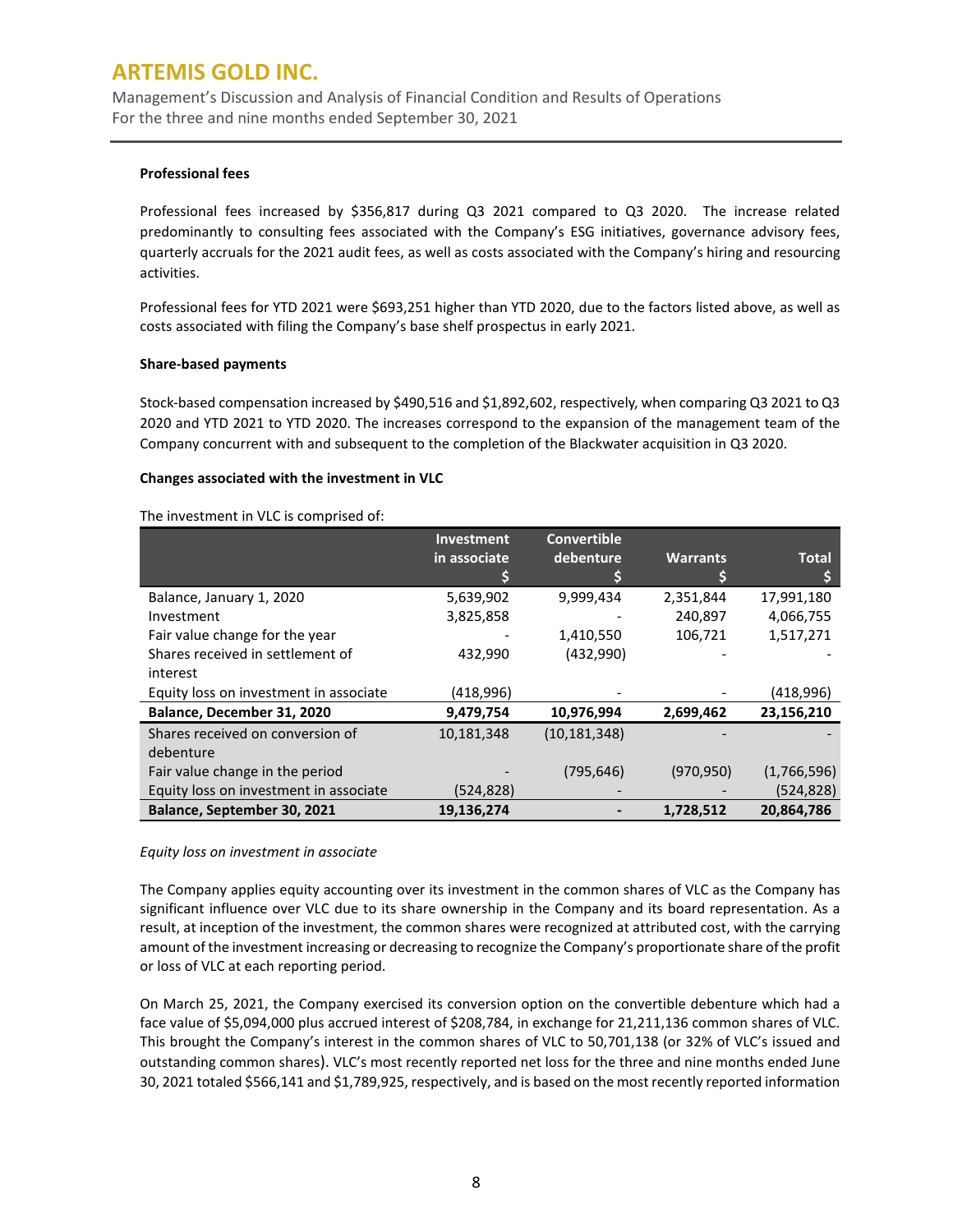Management's Discussion and Analysis of Financial Condition and Results of Operations For the three and nine months ended September 30, 2021

### **Professional fees**

Professional fees increased by \$356,817 during Q3 2021 compared to Q3 2020. The increase related predominantly to consulting fees associated with the Company's ESG initiatives, governance advisory fees, quarterly accruals for the 2021 audit fees, as well as costs associated with the Company's hiring and resourcing activities.

Professional fees for YTD 2021 were \$693,251 higher than YTD 2020, due to the factors listed above, as well as costs associated with filing the Company's base shelf prospectus in early 2021.

### **Share-based payments**

Stock-based compensation increased by \$490,516 and \$1,892,602, respectively, when comparing Q3 2021 to Q3 2020 and YTD 2021 to YTD 2020. The increases correspond to the expansion of the management team of the Company concurrent with and subsequent to the completion of the Blackwater acquisition in Q3 2020.

### **Changes associated with the investment in VLC**

### The investment in VLC is comprised of:

|                                        | <b>Investment</b> | <b>Convertible</b> |                 |              |
|----------------------------------------|-------------------|--------------------|-----------------|--------------|
|                                        | in associate      | debenture          | <b>Warrants</b> | <b>Total</b> |
|                                        |                   |                    |                 |              |
| Balance, January 1, 2020               | 5,639,902         | 9,999,434          | 2,351,844       | 17,991,180   |
| Investment                             | 3,825,858         |                    | 240,897         | 4,066,755    |
| Fair value change for the year         |                   | 1,410,550          | 106,721         | 1,517,271    |
| Shares received in settlement of       | 432,990           | (432,990)          |                 |              |
| interest                               |                   |                    |                 |              |
| Equity loss on investment in associate | (418,996)         |                    |                 | (418,996)    |
| Balance, December 31, 2020             | 9,479,754         | 10,976,994         | 2,699,462       | 23,156,210   |
| Shares received on conversion of       | 10,181,348        | (10, 181, 348)     |                 |              |
| debenture                              |                   |                    |                 |              |
| Fair value change in the period        |                   | (795, 646)         | (970, 950)      | (1,766,596)  |
| Equity loss on investment in associate | (524,828)         |                    |                 | (524, 828)   |
| Balance, September 30, 2021            | 19,136,274        |                    | 1,728,512       | 20,864,786   |

#### *Equity loss on investment in associate*

The Company applies equity accounting over its investment in the common shares of VLC as the Company has significant influence over VLC due to its share ownership in the Company and its board representation. As a result, at inception of the investment, the common shares were recognized at attributed cost, with the carrying amount of the investment increasing or decreasing to recognize the Company's proportionate share of the profit or loss of VLC at each reporting period.

On March 25, 2021, the Company exercised its conversion option on the convertible debenture which had a face value of \$5,094,000 plus accrued interest of \$208,784, in exchange for 21,211,136 common shares of VLC. This brought the Company's interest in the common shares of VLC to 50,701,138 (or 32% of VLC's issued and outstanding common shares). VLC's most recently reported net loss for the three and nine months ended June 30, 2021 totaled \$566,141 and \$1,789,925, respectively, and is based on the most recently reported information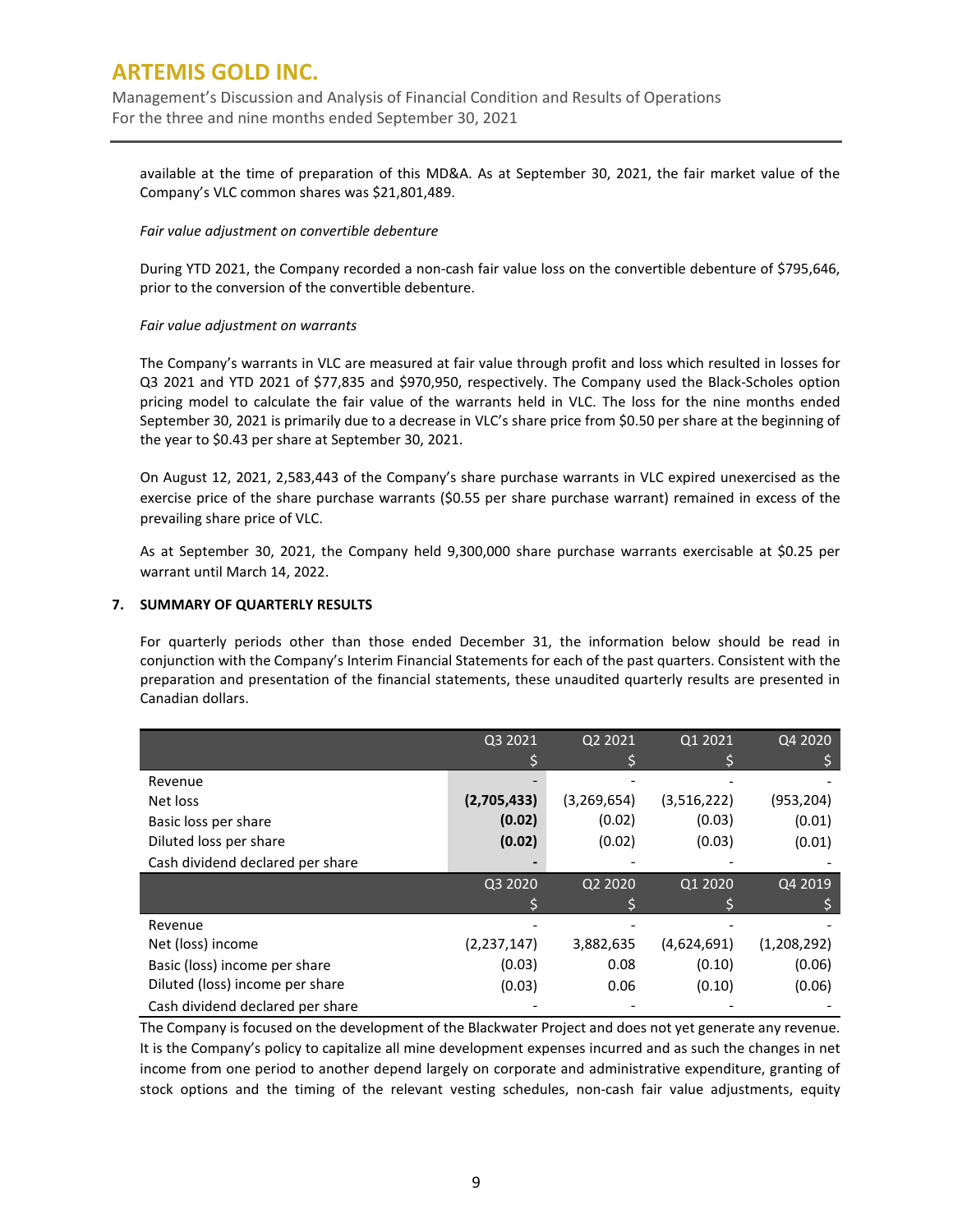Management's Discussion and Analysis of Financial Condition and Results of Operations For the three and nine months ended September 30, 2021

available at the time of preparation of this MD&A. As at September 30, 2021, the fair market value of the Company's VLC common shares was \$21,801,489.

#### *Fair value adjustment on convertible debenture*

During YTD 2021, the Company recorded a non-cash fair value loss on the convertible debenture of \$795,646, prior to the conversion of the convertible debenture.

### *Fair value adjustment on warrants*

The Company's warrants in VLC are measured at fair value through profit and loss which resulted in losses for Q3 2021 and YTD 2021 of \$77,835 and \$970,950, respectively. The Company used the Black-Scholes option pricing model to calculate the fair value of the warrants held in VLC. The loss for the nine months ended September 30, 2021 is primarily due to a decrease in VLC's share price from \$0.50 per share at the beginning of the year to \$0.43 per share at September 30, 2021.

On August 12, 2021, 2,583,443 of the Company's share purchase warrants in VLC expired unexercised as the exercise price of the share purchase warrants (\$0.55 per share purchase warrant) remained in excess of the prevailing share price of VLC.

As at September 30, 2021, the Company held 9,300,000 share purchase warrants exercisable at \$0.25 per warrant until March 14, 2022.

## **7. SUMMARY OF QUARTERLY RESULTS**

For quarterly periods other than those ended December 31, the information below should be read in conjunction with the Company's Interim Financial Statements for each of the past quarters. Consistent with the preparation and presentation of the financial statements, these unaudited quarterly results are presented in Canadian dollars.

|                                  | Q3 2021       | Q2 2021     | Q1 2021     | Q42020      |
|----------------------------------|---------------|-------------|-------------|-------------|
|                                  |               |             |             |             |
| Revenue                          |               |             |             |             |
| Net loss                         | (2,705,433)   | (3,269,654) | (3,516,222) | (953,204)   |
| Basic loss per share             | (0.02)        | (0.02)      | (0.03)      | (0.01)      |
| Diluted loss per share           | (0.02)        | (0.02)      | (0.03)      | (0.01)      |
| Cash dividend declared per share |               |             |             |             |
|                                  | Q3 2020       | Q2 2020     | Q1 2020     | Q4 2019     |
|                                  |               |             |             |             |
| Revenue                          |               |             |             |             |
| Net (loss) income                | (2, 237, 147) | 3,882,635   | (4,624,691) | (1,208,292) |
| Basic (loss) income per share    | (0.03)        | 0.08        | (0.10)      | (0.06)      |
| Diluted (loss) income per share  | (0.03)        | 0.06        | (0.10)      | (0.06)      |
| Cash dividend declared per share |               |             |             |             |

The Company is focused on the development of the Blackwater Project and does not yet generate any revenue. It is the Company's policy to capitalize all mine development expenses incurred and as such the changes in net income from one period to another depend largely on corporate and administrative expenditure, granting of stock options and the timing of the relevant vesting schedules, non-cash fair value adjustments, equity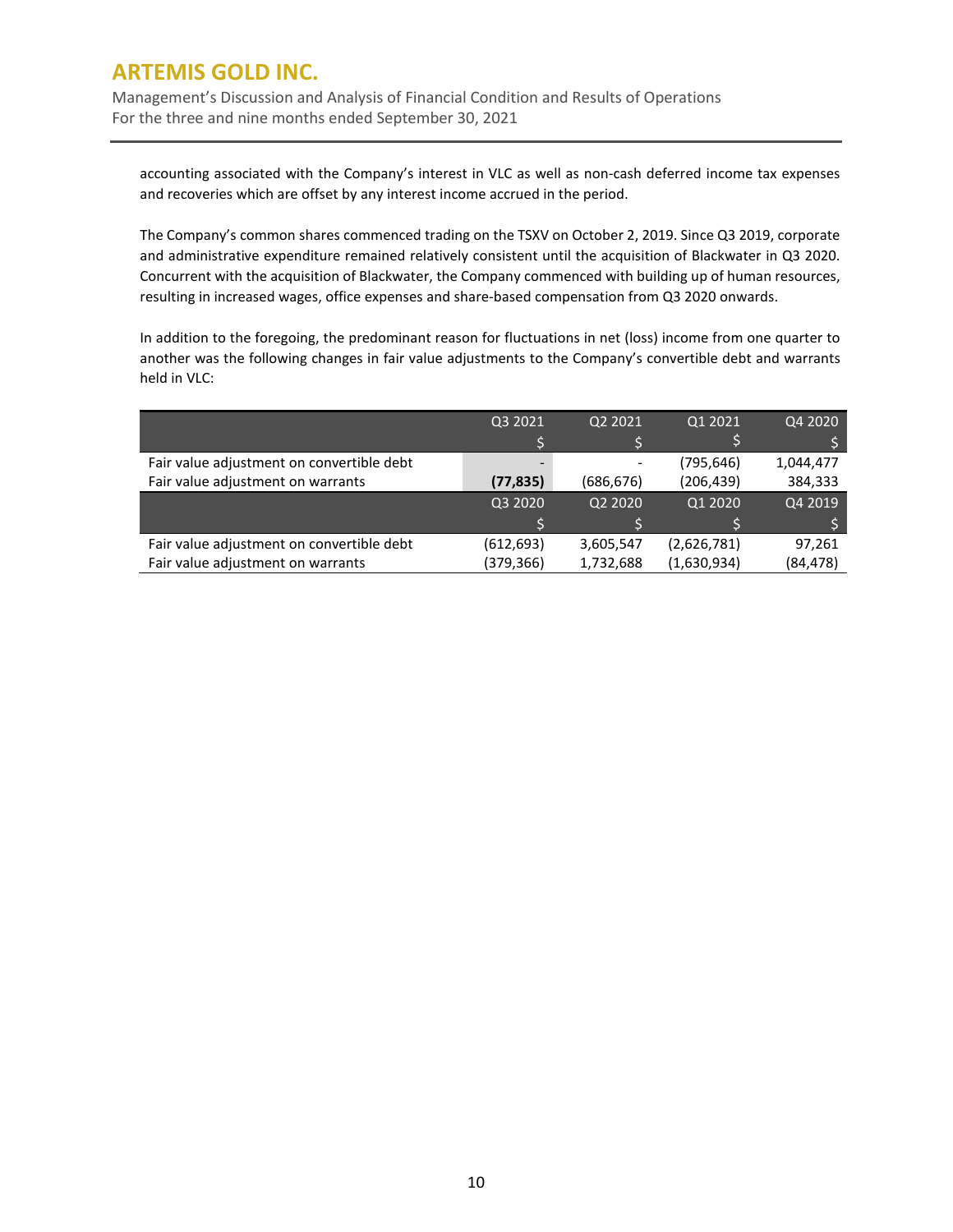Management's Discussion and Analysis of Financial Condition and Results of Operations For the three and nine months ended September 30, 2021

accounting associated with the Company's interest in VLC as well as non-cash deferred income tax expenses and recoveries which are offset by any interest income accrued in the period.

The Company's common shares commenced trading on the TSXV on October 2, 2019. Since Q3 2019, corporate and administrative expenditure remained relatively consistent until the acquisition of Blackwater in Q3 2020. Concurrent with the acquisition of Blackwater, the Company commenced with building up of human resources, resulting in increased wages, office expenses and share-based compensation from Q3 2020 onwards.

In addition to the foregoing, the predominant reason for fluctuations in net (loss) income from one quarter to another was the following changes in fair value adjustments to the Company's convertible debt and warrants held in VLC:

|                                           | Q3 2021    | Q2 2021    | Q1 2021     | Q4 2020   |
|-------------------------------------------|------------|------------|-------------|-----------|
|                                           |            |            |             |           |
| Fair value adjustment on convertible debt | -          |            | (795,646)   | 1,044,477 |
| Fair value adjustment on warrants         | (77, 835)  | (686, 676) | (206, 439)  | 384,333   |
|                                           | Q3 2020    | Q2 2020    | Q1 2020     | Q4 2019   |
|                                           |            |            |             |           |
| Fair value adjustment on convertible debt | (612, 693) | 3,605,547  | (2,626,781) | 97,261    |
| Fair value adjustment on warrants         | (379,366)  | 1,732,688  | (1,630,934) | (84, 478) |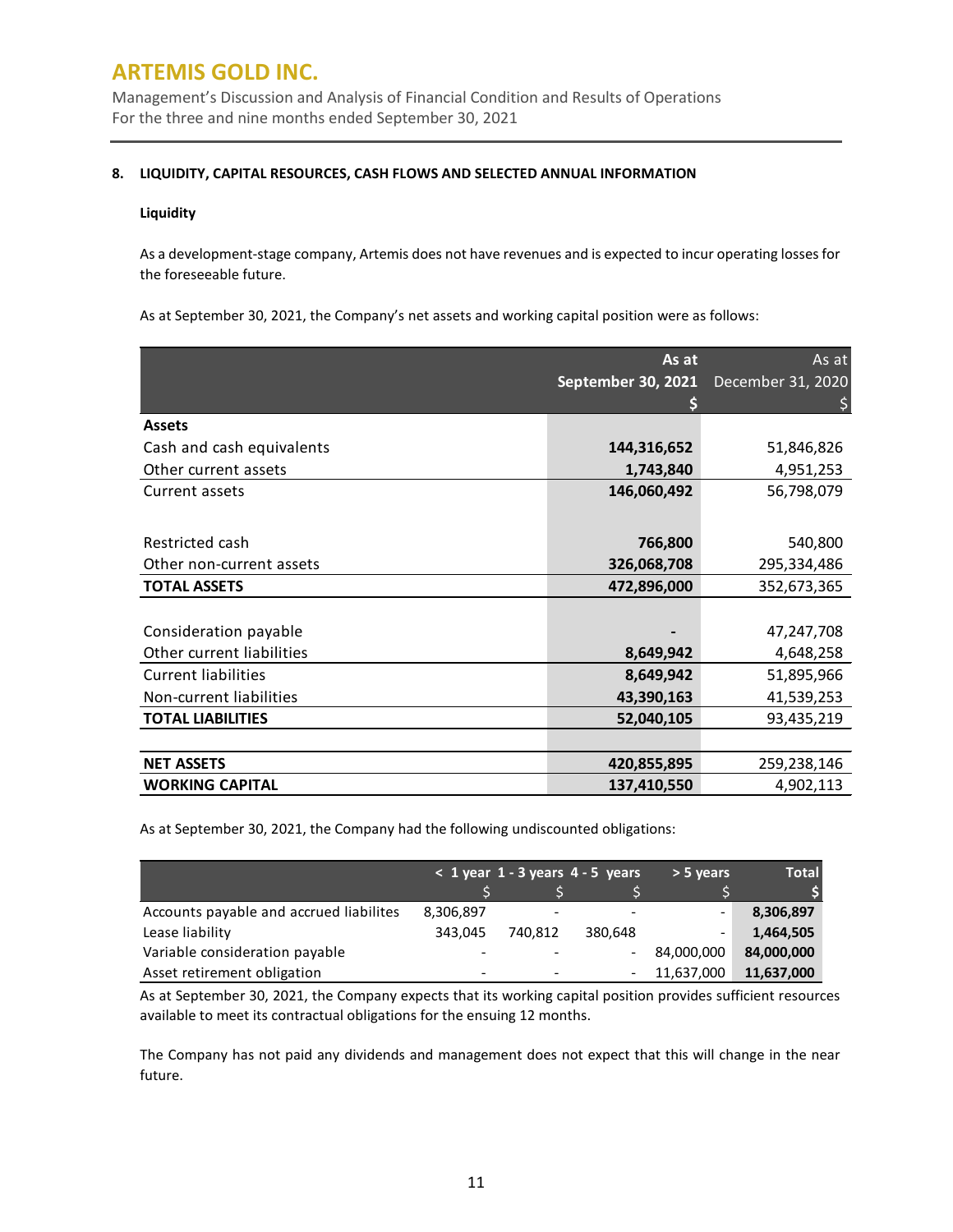Management's Discussion and Analysis of Financial Condition and Results of Operations For the three and nine months ended September 30, 2021

## **8. LIQUIDITY, CAPITAL RESOURCES, CASH FLOWS AND SELECTED ANNUAL INFORMATION**

### **Liquidity**

As a development-stage company, Artemis does not have revenues and is expected to incur operating losses for the foreseeable future.

As at September 30, 2021, the Company's net assets and working capital position were as follows:

|                            | As at              | As at             |
|----------------------------|--------------------|-------------------|
|                            | September 30, 2021 | December 31, 2020 |
|                            |                    |                   |
| <b>Assets</b>              |                    |                   |
| Cash and cash equivalents  | 144,316,652        | 51,846,826        |
| Other current assets       | 1,743,840          | 4,951,253         |
| Current assets             | 146,060,492        | 56,798,079        |
|                            |                    |                   |
| Restricted cash            | 766,800            | 540,800           |
| Other non-current assets   | 326,068,708        | 295,334,486       |
| <b>TOTAL ASSETS</b>        | 472,896,000        | 352,673,365       |
|                            |                    |                   |
| Consideration payable      |                    | 47,247,708        |
| Other current liabilities  | 8,649,942          | 4,648,258         |
| <b>Current liabilities</b> | 8,649,942          | 51,895,966        |
| Non-current liabilities    | 43,390,163         | 41,539,253        |
| <b>TOTAL LIABILITIES</b>   | 52,040,105         | 93,435,219        |
|                            |                    |                   |
| <b>NET ASSETS</b>          | 420,855,895        | 259,238,146       |
| <b>WORKING CAPITAL</b>     | 137,410,550        | 4,902,113         |

As at September 30, 2021, the Company had the following undiscounted obligations:

|                                         |           |                          | $< 1$ year 1 - 3 years 4 - 5 years | > 5 years  | Total      |
|-----------------------------------------|-----------|--------------------------|------------------------------------|------------|------------|
|                                         |           |                          |                                    |            |            |
| Accounts payable and accrued liabilites | 8,306,897 | $\overline{\phantom{a}}$ |                                    |            | 8,306,897  |
| Lease liability                         | 343.045   | 740.812                  | 380,648                            | -          | 1,464,505  |
| Variable consideration payable          | ۰         |                          |                                    | 84,000,000 | 84,000,000 |
| Asset retirement obligation             | -         | $\overline{\phantom{a}}$ |                                    | 11,637,000 | 11,637,000 |

As at September 30, 2021, the Company expects that its working capital position provides sufficient resources available to meet its contractual obligations for the ensuing 12 months.

The Company has not paid any dividends and management does not expect that this will change in the near future.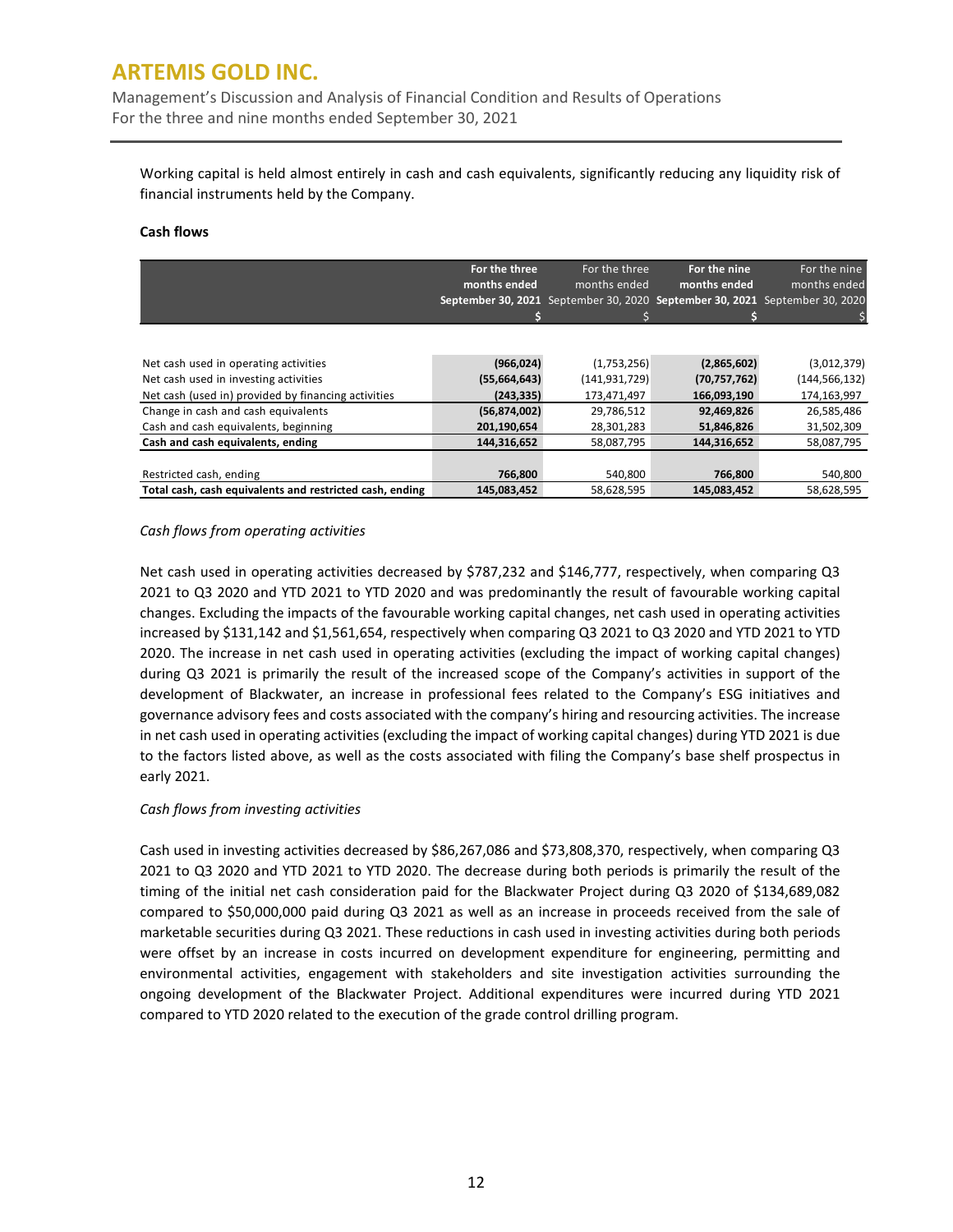Management's Discussion and Analysis of Financial Condition and Results of Operations For the three and nine months ended September 30, 2021

## Working capital is held almost entirely in cash and cash equivalents, significantly reducing any liquidity risk of financial instruments held by the Company.

#### **Cash flows**

|                                                          | For the three  | For the three                                                               | For the nine   | For the nine    |
|----------------------------------------------------------|----------------|-----------------------------------------------------------------------------|----------------|-----------------|
|                                                          | months ended   | months ended                                                                | months ended   | months ended    |
|                                                          |                | September 30, 2021 September 30, 2020 September 30, 2021 September 30, 2020 |                |                 |
|                                                          |                |                                                                             |                |                 |
|                                                          |                |                                                                             |                |                 |
|                                                          |                |                                                                             |                |                 |
| Net cash used in operating activities                    | (966, 024)     | (1,753,256)                                                                 | (2,865,602)    | (3,012,379)     |
| Net cash used in investing activities                    | (55,664,643)   | (141, 931, 729)                                                             | (70, 757, 762) | (144, 566, 132) |
| Net cash (used in) provided by financing activities      | (243, 335)     | 173,471,497                                                                 | 166,093,190    | 174,163,997     |
| Change in cash and cash equivalents                      | (56, 874, 002) | 29,786,512                                                                  | 92,469,826     | 26,585,486      |
| Cash and cash equivalents, beginning                     | 201,190,654    | 28,301,283                                                                  | 51,846,826     | 31,502,309      |
| Cash and cash equivalents, ending                        | 144,316,652    | 58,087,795                                                                  | 144,316,652    | 58,087,795      |
|                                                          |                |                                                                             |                |                 |
| Restricted cash, ending                                  | 766,800        | 540,800                                                                     | 766,800        | 540,800         |
| Total cash, cash equivalents and restricted cash, ending | 145,083,452    | 58.628.595                                                                  | 145.083.452    | 58,628,595      |

## *Cash flows from operating activities*

Net cash used in operating activities decreased by \$787,232 and \$146,777, respectively, when comparing Q3 2021 to Q3 2020 and YTD 2021 to YTD 2020 and was predominantly the result of favourable working capital changes. Excluding the impacts of the favourable working capital changes, net cash used in operating activities increased by \$131,142 and \$1,561,654, respectively when comparing Q3 2021 to Q3 2020 and YTD 2021 to YTD 2020. The increase in net cash used in operating activities (excluding the impact of working capital changes) during Q3 2021 is primarily the result of the increased scope of the Company's activities in support of the development of Blackwater, an increase in professional fees related to the Company's ESG initiatives and governance advisory fees and costs associated with the company's hiring and resourcing activities. The increase in net cash used in operating activities (excluding the impact of working capital changes) during YTD 2021 is due to the factors listed above, as well as the costs associated with filing the Company's base shelf prospectus in early 2021.

## *Cash flows from investing activities*

Cash used in investing activities decreased by \$86,267,086 and \$73,808,370, respectively, when comparing Q3 2021 to Q3 2020 and YTD 2021 to YTD 2020. The decrease during both periods is primarily the result of the timing of the initial net cash consideration paid for the Blackwater Project during Q3 2020 of \$134,689,082 compared to \$50,000,000 paid during Q3 2021 as well as an increase in proceeds received from the sale of marketable securities during Q3 2021. These reductions in cash used in investing activities during both periods were offset by an increase in costs incurred on development expenditure for engineering, permitting and environmental activities, engagement with stakeholders and site investigation activities surrounding the ongoing development of the Blackwater Project. Additional expenditures were incurred during YTD 2021 compared to YTD 2020 related to the execution of the grade control drilling program.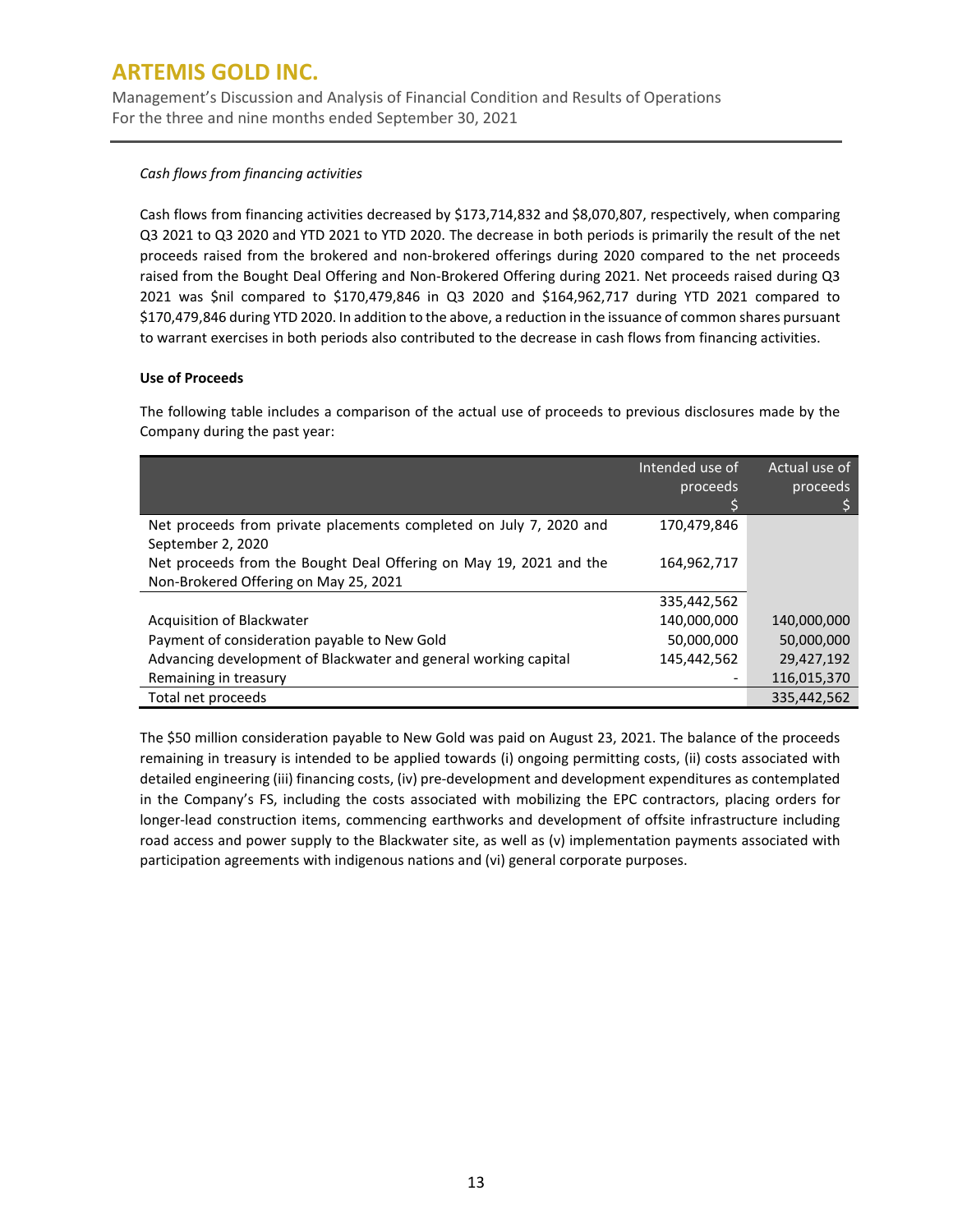Management's Discussion and Analysis of Financial Condition and Results of Operations For the three and nine months ended September 30, 2021

### *Cash flows from financing activities*

Cash flows from financing activities decreased by \$173,714,832 and \$8,070,807, respectively, when comparing Q3 2021 to Q3 2020 and YTD 2021 to YTD 2020. The decrease in both periods is primarily the result of the net proceeds raised from the brokered and non-brokered offerings during 2020 compared to the net proceeds raised from the Bought Deal Offering and Non-Brokered Offering during 2021. Net proceeds raised during Q3 2021 was \$nil compared to \$170,479,846 in Q3 2020 and \$164,962,717 during YTD 2021 compared to \$170,479,846 during YTD 2020. In addition to the above, a reduction in the issuance of common shares pursuant to warrant exercises in both periods also contributed to the decrease in cash flows from financing activities.

## **Use of Proceeds**

The following table includes a comparison of the actual use of proceeds to previous disclosures made by the Company during the past year:

|                                                                    | Intended use of | Actual use of |
|--------------------------------------------------------------------|-----------------|---------------|
|                                                                    | proceeds        | proceeds      |
|                                                                    |                 |               |
| Net proceeds from private placements completed on July 7, 2020 and | 170,479,846     |               |
| September 2, 2020                                                  |                 |               |
| Net proceeds from the Bought Deal Offering on May 19, 2021 and the | 164,962,717     |               |
| Non-Brokered Offering on May 25, 2021                              |                 |               |
|                                                                    | 335,442,562     |               |
| Acquisition of Blackwater                                          | 140,000,000     | 140,000,000   |
| Payment of consideration payable to New Gold                       | 50,000,000      | 50,000,000    |
| Advancing development of Blackwater and general working capital    | 145,442,562     | 29,427,192    |
| Remaining in treasury                                              |                 | 116,015,370   |
| Total net proceeds                                                 |                 | 335,442,562   |

The \$50 million consideration payable to New Gold was paid on August 23, 2021. The balance of the proceeds remaining in treasury is intended to be applied towards (i) ongoing permitting costs, (ii) costs associated with detailed engineering (iii) financing costs, (iv) pre-development and development expenditures as contemplated in the Company's FS, including the costs associated with mobilizing the EPC contractors, placing orders for longer-lead construction items, commencing earthworks and development of offsite infrastructure including road access and power supply to the Blackwater site, as well as (v) implementation payments associated with participation agreements with indigenous nations and (vi) general corporate purposes.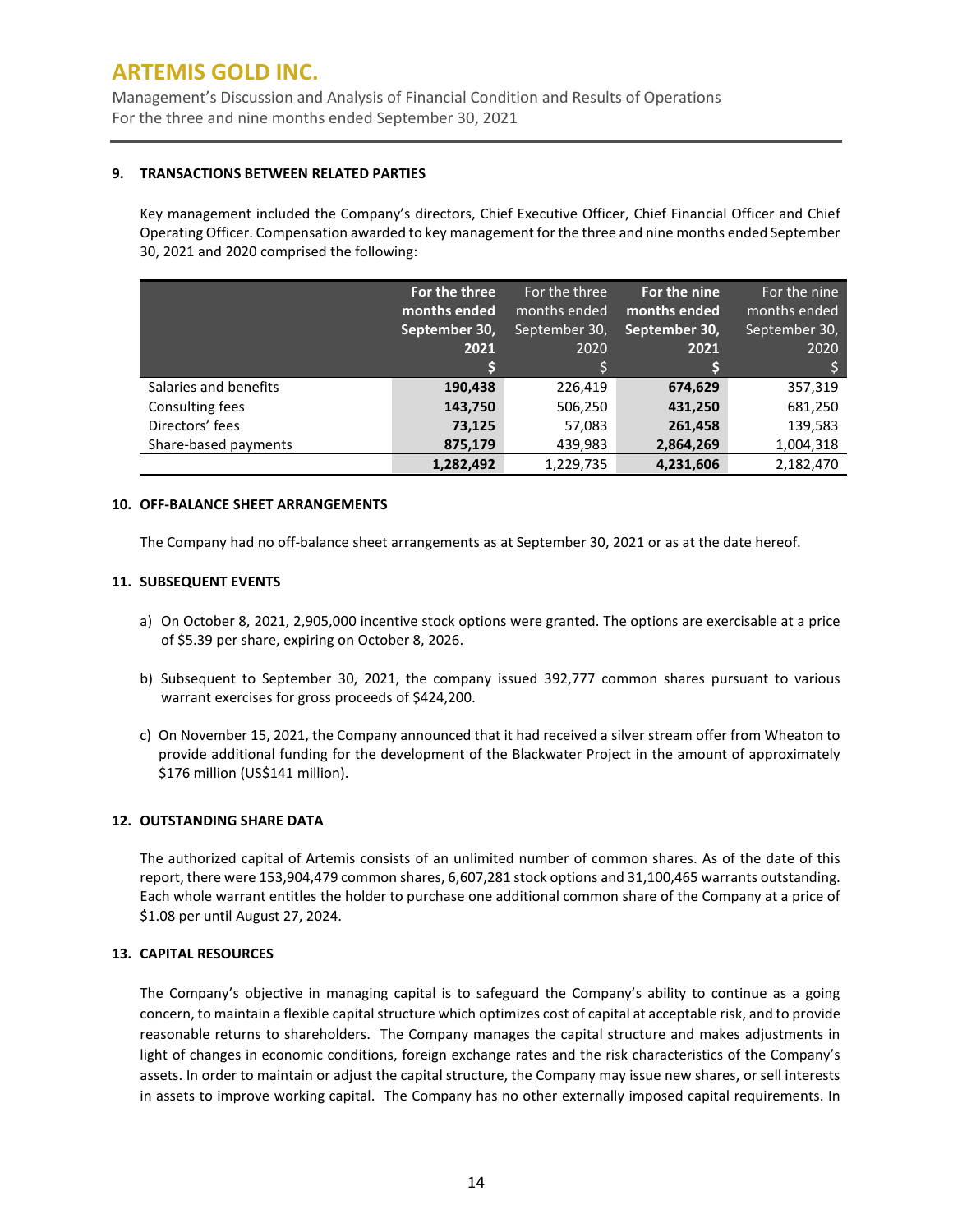Management's Discussion and Analysis of Financial Condition and Results of Operations For the three and nine months ended September 30, 2021

### **9. TRANSACTIONS BETWEEN RELATED PARTIES**

Key management included the Company's directors, Chief Executive Officer, Chief Financial Officer and Chief Operating Officer. Compensation awarded to key management for the three and nine months ended September 30, 2021 and 2020 comprised the following:

|                       | For the three<br>months ended<br>September 30, | For the three<br>months ended<br>September 30, | For the nine<br>months ended<br>September 30, | For the nine<br>months ended<br>September 30, |
|-----------------------|------------------------------------------------|------------------------------------------------|-----------------------------------------------|-----------------------------------------------|
|                       | 2021                                           | 2020                                           | 2021                                          | 2020                                          |
|                       |                                                |                                                |                                               |                                               |
| Salaries and benefits | 190,438                                        | 226,419                                        | 674,629                                       | 357,319                                       |
| Consulting fees       | 143,750                                        | 506,250                                        | 431,250                                       | 681,250                                       |
| Directors' fees       | 73,125                                         | 57,083                                         | 261,458                                       | 139,583                                       |
| Share-based payments  | 875,179                                        | 439,983                                        | 2,864,269                                     | 1,004,318                                     |
|                       | 1,282,492                                      | 1,229,735                                      | 4,231,606                                     | 2,182,470                                     |

### **10. OFF-BALANCE SHEET ARRANGEMENTS**

The Company had no off-balance sheet arrangements as at September 30, 2021 or as at the date hereof.

### **11. SUBSEQUENT EVENTS**

- a) On October 8, 2021, 2,905,000 incentive stock options were granted. The options are exercisable at a price of \$5.39 per share, expiring on October 8, 2026.
- b) Subsequent to September 30, 2021, the company issued 392,777 common shares pursuant to various warrant exercises for gross proceeds of \$424,200.
- c) On November 15, 2021, the Company announced that it had received a silver stream offer from Wheaton to provide additional funding for the development of the Blackwater Project in the amount of approximately \$176 million (US\$141 million).

## **12. OUTSTANDING SHARE DATA**

The authorized capital of Artemis consists of an unlimited number of common shares. As of the date of this report, there were 153,904,479 common shares, 6,607,281 stock options and 31,100,465 warrants outstanding. Each whole warrant entitles the holder to purchase one additional common share of the Company at a price of \$1.08 per until August 27, 2024.

#### **13. CAPITAL RESOURCES**

The Company's objective in managing capital is to safeguard the Company's ability to continue as a going concern, to maintain a flexible capital structure which optimizes cost of capital at acceptable risk, and to provide reasonable returns to shareholders. The Company manages the capital structure and makes adjustments in light of changes in economic conditions, foreign exchange rates and the risk characteristics of the Company's assets. In order to maintain or adjust the capital structure, the Company may issue new shares, or sell interests in assets to improve working capital. The Company has no other externally imposed capital requirements. In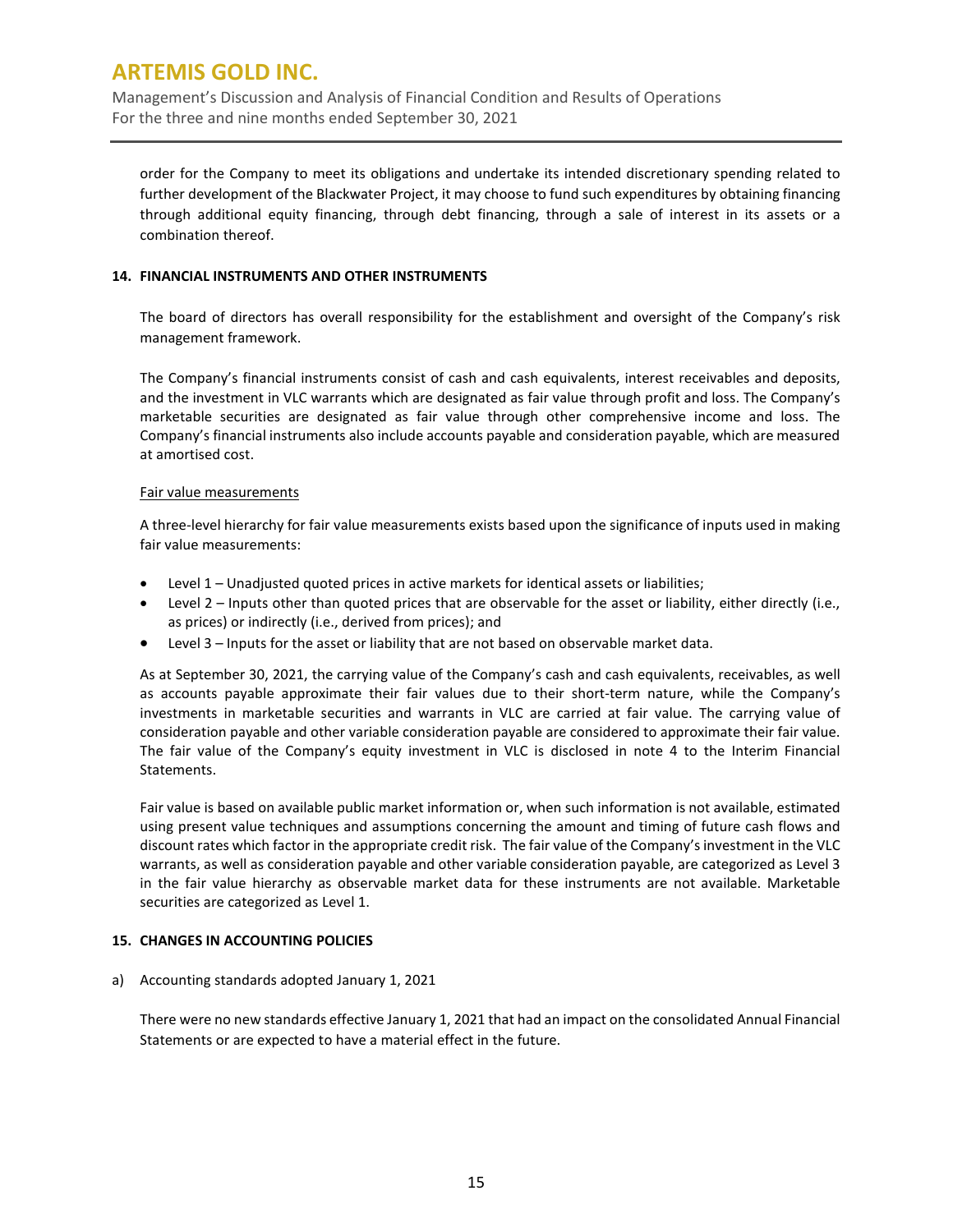Management's Discussion and Analysis of Financial Condition and Results of Operations For the three and nine months ended September 30, 2021

order for the Company to meet its obligations and undertake its intended discretionary spending related to further development of the Blackwater Project, it may choose to fund such expenditures by obtaining financing through additional equity financing, through debt financing, through a sale of interest in its assets or a combination thereof.

## **14. FINANCIAL INSTRUMENTS AND OTHER INSTRUMENTS**

The board of directors has overall responsibility for the establishment and oversight of the Company's risk management framework.

The Company's financial instruments consist of cash and cash equivalents, interest receivables and deposits, and the investment in VLC warrants which are designated as fair value through profit and loss. The Company's marketable securities are designated as fair value through other comprehensive income and loss. The Company's financial instruments also include accounts payable and consideration payable, which are measured at amortised cost.

### Fair value measurements

A three-level hierarchy for fair value measurements exists based upon the significance of inputs used in making fair value measurements:

- Level 1 Unadjusted quoted prices in active markets for identical assets or liabilities;
- Level 2 Inputs other than quoted prices that are observable for the asset or liability, either directly (i.e., as prices) or indirectly (i.e., derived from prices); and
- Level 3 Inputs for the asset or liability that are not based on observable market data.

As at September 30, 2021, the carrying value of the Company's cash and cash equivalents, receivables, as well as accounts payable approximate their fair values due to their short-term nature, while the Company's investments in marketable securities and warrants in VLC are carried at fair value. The carrying value of consideration payable and other variable consideration payable are considered to approximate their fair value. The fair value of the Company's equity investment in VLC is disclosed in note 4 to the Interim Financial Statements.

Fair value is based on available public market information or, when such information is not available, estimated using present value techniques and assumptions concerning the amount and timing of future cash flows and discount rates which factor in the appropriate credit risk. The fair value of the Company's investment in the VLC warrants, as well as consideration payable and other variable consideration payable, are categorized as Level 3 in the fair value hierarchy as observable market data for these instruments are not available. Marketable securities are categorized as Level 1.

#### **15. CHANGES IN ACCOUNTING POLICIES**

a) Accounting standards adopted January 1, 2021

There were no new standards effective January 1, 2021 that had an impact on the consolidated Annual Financial Statements or are expected to have a material effect in the future.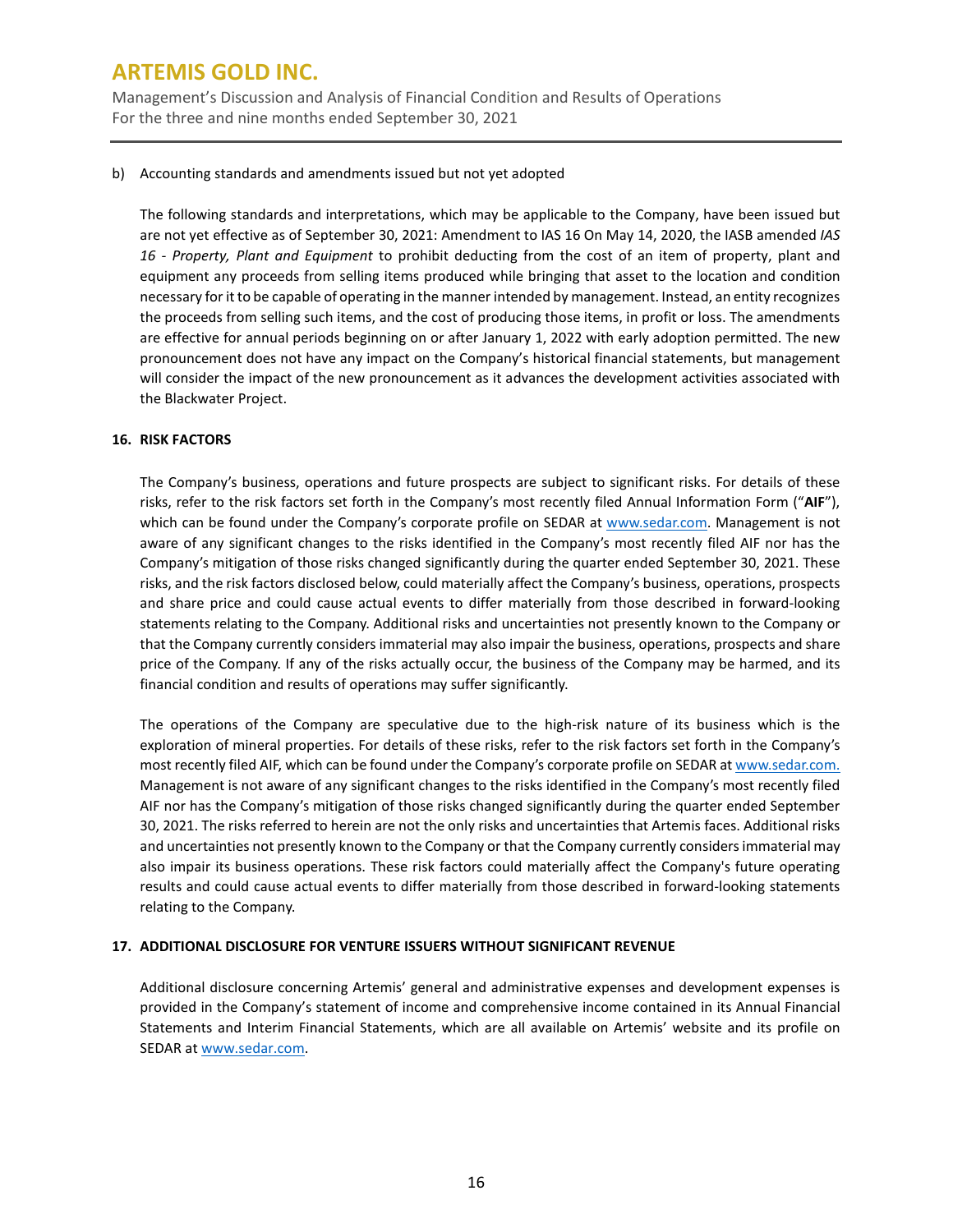Management's Discussion and Analysis of Financial Condition and Results of Operations For the three and nine months ended September 30, 2021

### b) Accounting standards and amendments issued but not yet adopted

The following standards and interpretations, which may be applicable to the Company, have been issued but are not yet effective as of September 30, 2021: Amendment to IAS 16 On May 14, 2020, the IASB amended *IAS 16 - Property, Plant and Equipment* to prohibit deducting from the cost of an item of property, plant and equipment any proceeds from selling items produced while bringing that asset to the location and condition necessary for it to be capable of operating in the manner intended by management. Instead, an entity recognizes the proceeds from selling such items, and the cost of producing those items, in profit or loss. The amendments are effective for annual periods beginning on or after January 1, 2022 with early adoption permitted. The new pronouncement does not have any impact on the Company's historical financial statements, but management will consider the impact of the new pronouncement as it advances the development activities associated with the Blackwater Project.

### **16. RISK FACTORS**

The Company's business, operations and future prospects are subject to significant risks. For details of these risks, refer to the risk factors set forth in the Company's most recently filed Annual Information Form ("**AIF**"), which can be found under the Company's corporate profile on SEDAR a[t www.sedar.com.](http://www.sedar.com/) Management is not aware of any significant changes to the risks identified in the Company's most recently filed AIF nor has the Company's mitigation of those risks changed significantly during the quarter ended September 30, 2021. These risks, and the risk factors disclosed below, could materially affect the Company's business, operations, prospects and share price and could cause actual events to differ materially from those described in forward-looking statements relating to the Company. Additional risks and uncertainties not presently known to the Company or that the Company currently considers immaterial may also impair the business, operations, prospects and share price of the Company. If any of the risks actually occur, the business of the Company may be harmed, and its financial condition and results of operations may suffer significantly.

The operations of the Company are speculative due to the high-risk nature of its business which is the exploration of mineral properties. For details of these risks, refer to the risk factors set forth in the Company's most recently filed AIF, which can be found under the Company's corporate profile on SEDAR at www.sedar.com. Management is not aware of any significant changes to the risks identified in the Company's most recently filed AIF nor has the Company's mitigation of those risks changed significantly during the quarter ended September 30, 2021. The risks referred to herein are not the only risks and uncertainties that Artemis faces. Additional risks and uncertainties not presently known to the Company or that the Company currently considers immaterial may also impair its business operations. These risk factors could materially affect the Company's future operating results and could cause actual events to differ materially from those described in forward-looking statements relating to the Company.

## **17. ADDITIONAL DISCLOSURE FOR VENTURE ISSUERS WITHOUT SIGNIFICANT REVENUE**

Additional disclosure concerning Artemis' general and administrative expenses and development expenses is provided in the Company's statement of income and comprehensive income contained in its Annual Financial Statements and Interim Financial Statements, which are all available on Artemis' website and its profile on SEDAR a[t www.sedar.com.](http://www.sedar.com/)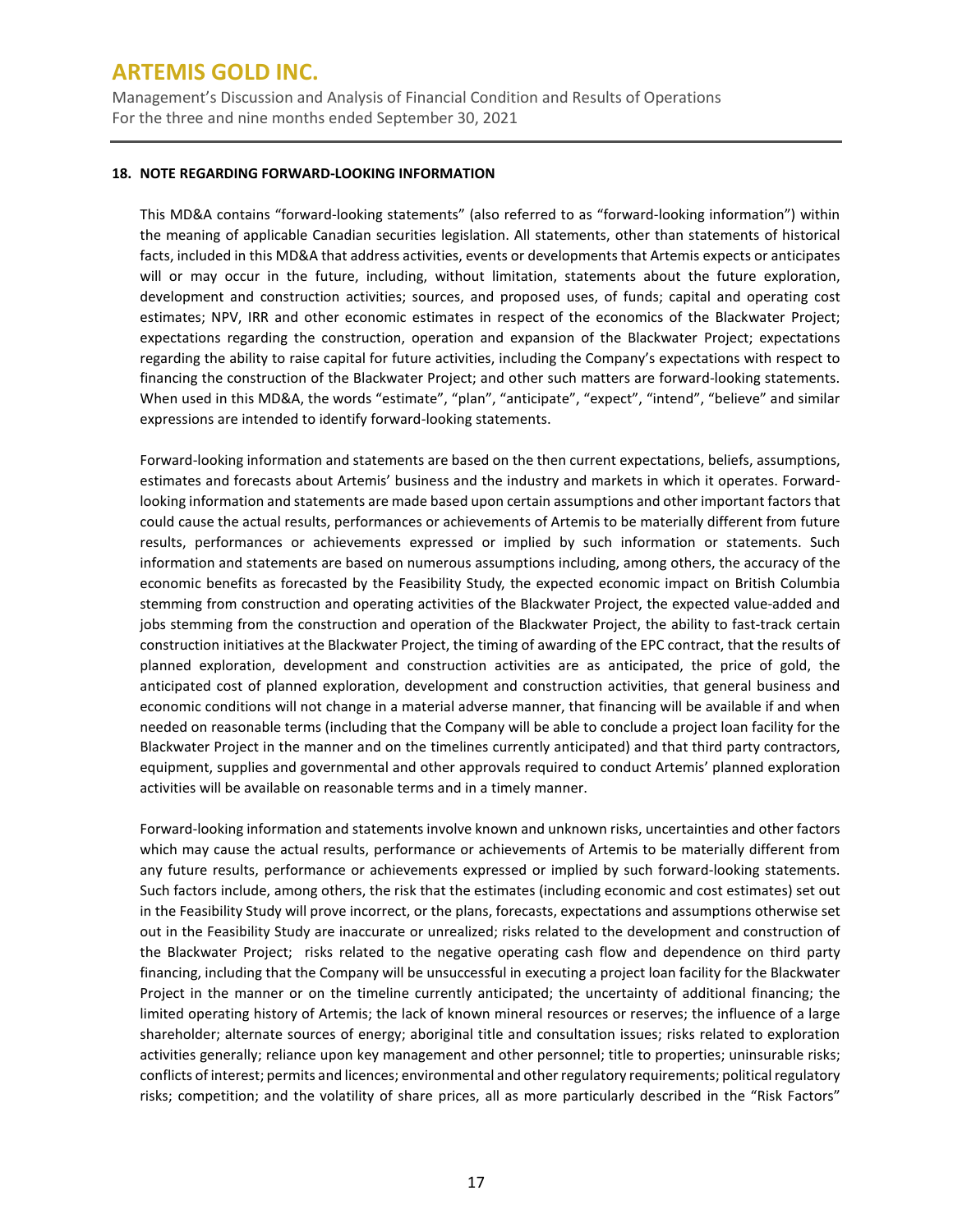Management's Discussion and Analysis of Financial Condition and Results of Operations For the three and nine months ended September 30, 2021

## **18. NOTE REGARDING FORWARD-LOOKING INFORMATION**

This MD&A contains "forward-looking statements" (also referred to as "forward-looking information") within the meaning of applicable Canadian securities legislation. All statements, other than statements of historical facts, included in this MD&A that address activities, events or developments that Artemis expects or anticipates will or may occur in the future, including, without limitation, statements about the future exploration, development and construction activities; sources, and proposed uses, of funds; capital and operating cost estimates; NPV, IRR and other economic estimates in respect of the economics of the Blackwater Project; expectations regarding the construction, operation and expansion of the Blackwater Project; expectations regarding the ability to raise capital for future activities, including the Company's expectations with respect to financing the construction of the Blackwater Project; and other such matters are forward-looking statements. When used in this MD&A, the words "estimate", "plan", "anticipate", "expect", "intend", "believe" and similar expressions are intended to identify forward-looking statements.

Forward-looking information and statements are based on the then current expectations, beliefs, assumptions, estimates and forecasts about Artemis' business and the industry and markets in which it operates. Forwardlooking information and statements are made based upon certain assumptions and other important factors that could cause the actual results, performances or achievements of Artemis to be materially different from future results, performances or achievements expressed or implied by such information or statements. Such information and statements are based on numerous assumptions including, among others, the accuracy of the economic benefits as forecasted by the Feasibility Study, the expected economic impact on British Columbia stemming from construction and operating activities of the Blackwater Project, the expected value-added and jobs stemming from the construction and operation of the Blackwater Project, the ability to fast-track certain construction initiatives at the Blackwater Project, the timing of awarding of the EPC contract, that the results of planned exploration, development and construction activities are as anticipated, the price of gold, the anticipated cost of planned exploration, development and construction activities, that general business and economic conditions will not change in a material adverse manner, that financing will be available if and when needed on reasonable terms (including that the Company will be able to conclude a project loan facility for the Blackwater Project in the manner and on the timelines currently anticipated) and that third party contractors, equipment, supplies and governmental and other approvals required to conduct Artemis' planned exploration activities will be available on reasonable terms and in a timely manner.

Forward-looking information and statements involve known and unknown risks, uncertainties and other factors which may cause the actual results, performance or achievements of Artemis to be materially different from any future results, performance or achievements expressed or implied by such forward-looking statements. Such factors include, among others, the risk that the estimates (including economic and cost estimates) set out in the Feasibility Study will prove incorrect, or the plans, forecasts, expectations and assumptions otherwise set out in the Feasibility Study are inaccurate or unrealized; risks related to the development and construction of the Blackwater Project; risks related to the negative operating cash flow and dependence on third party financing, including that the Company will be unsuccessful in executing a project loan facility for the Blackwater Project in the manner or on the timeline currently anticipated; the uncertainty of additional financing; the limited operating history of Artemis; the lack of known mineral resources or reserves; the influence of a large shareholder; alternate sources of energy; aboriginal title and consultation issues; risks related to exploration activities generally; reliance upon key management and other personnel; title to properties; uninsurable risks; conflicts of interest; permits and licences; environmental and other regulatory requirements; political regulatory risks; competition; and the volatility of share prices, all as more particularly described in the "Risk Factors"